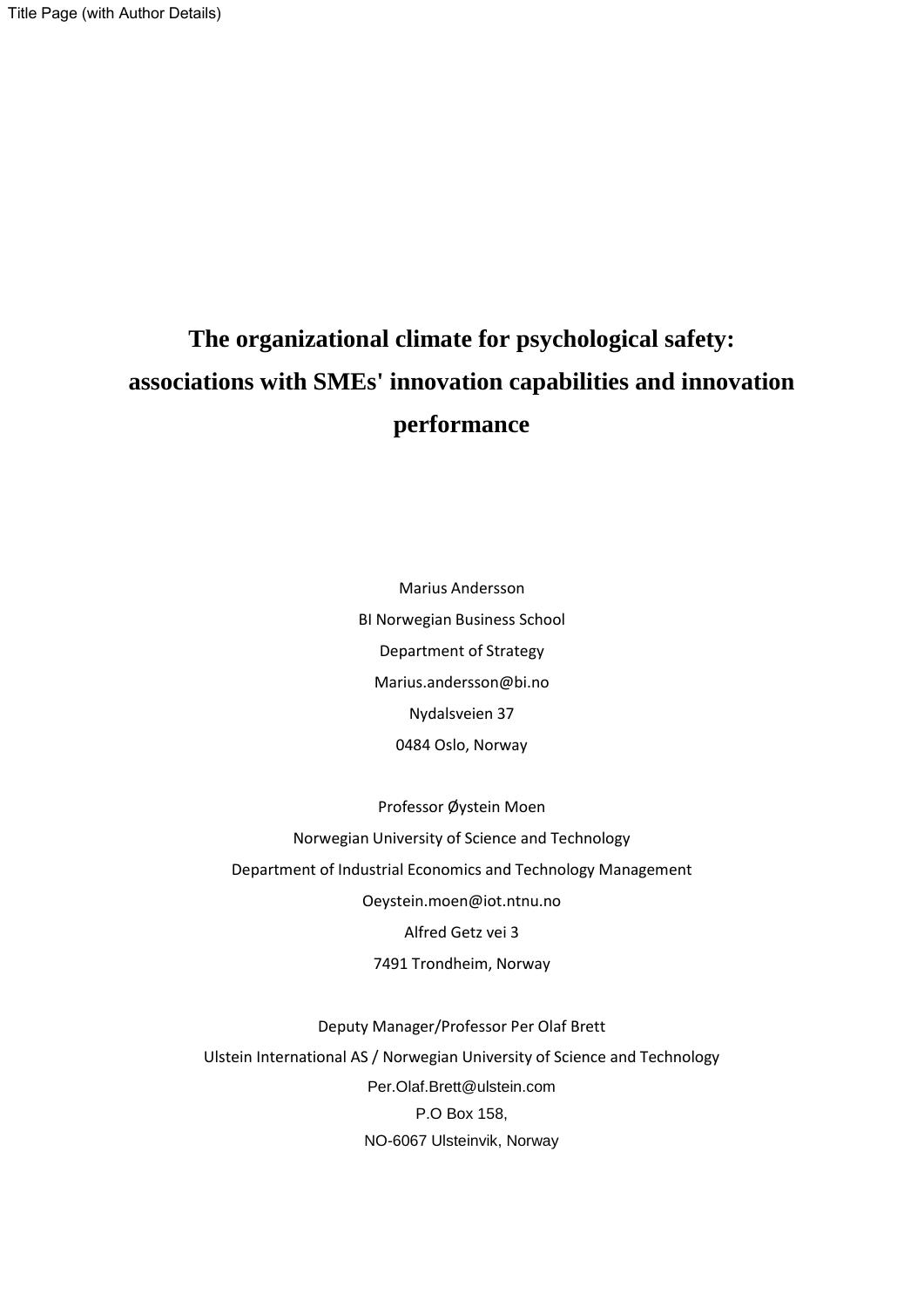# **The organizational climate for psychological safety: associations with SMEs' innovation capabilities and innovation performance**

Marius Andersson BI Norwegian Business School Department of Strategy Marius.andersson@bi.no Nydalsveien 37 0484 Oslo, Norway

Professor Øystein Moen Norwegian University of Science and Technology Department of Industrial Economics and Technology Management Oeystein.moen@iot.ntnu.no Alfred Getz vei 3 7491 Trondheim, Norway

Deputy Manager/Professor Per Olaf Brett Ulstein International AS / Norwegian University of Science and Technology Per.Olaf.Brett@ulstein.com P.O Box 158, NO-6067 Ulsteinvik, Norway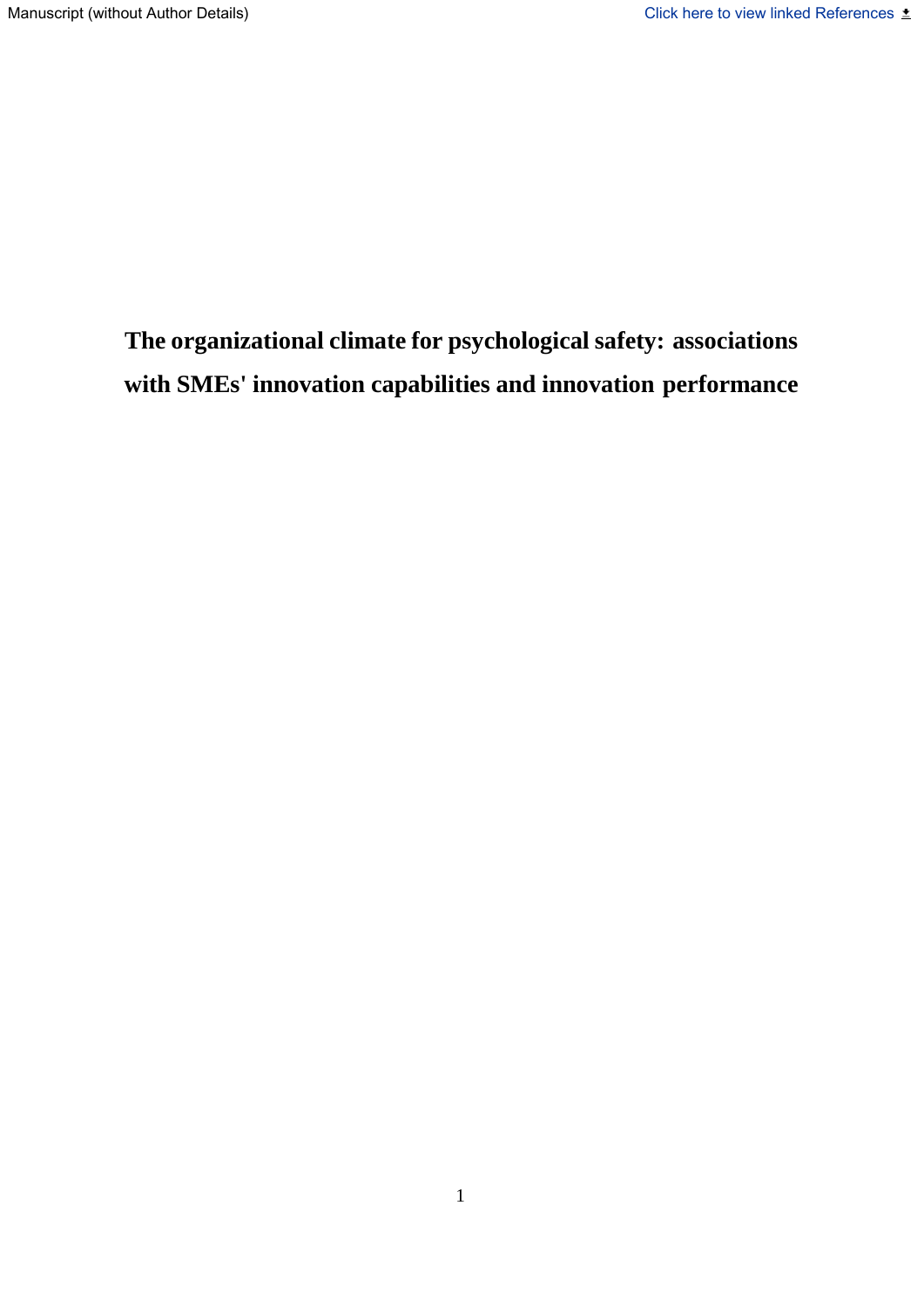# **The organizational climate for psychological safety: associations with SMEs' innovation capabilities and innovation performance**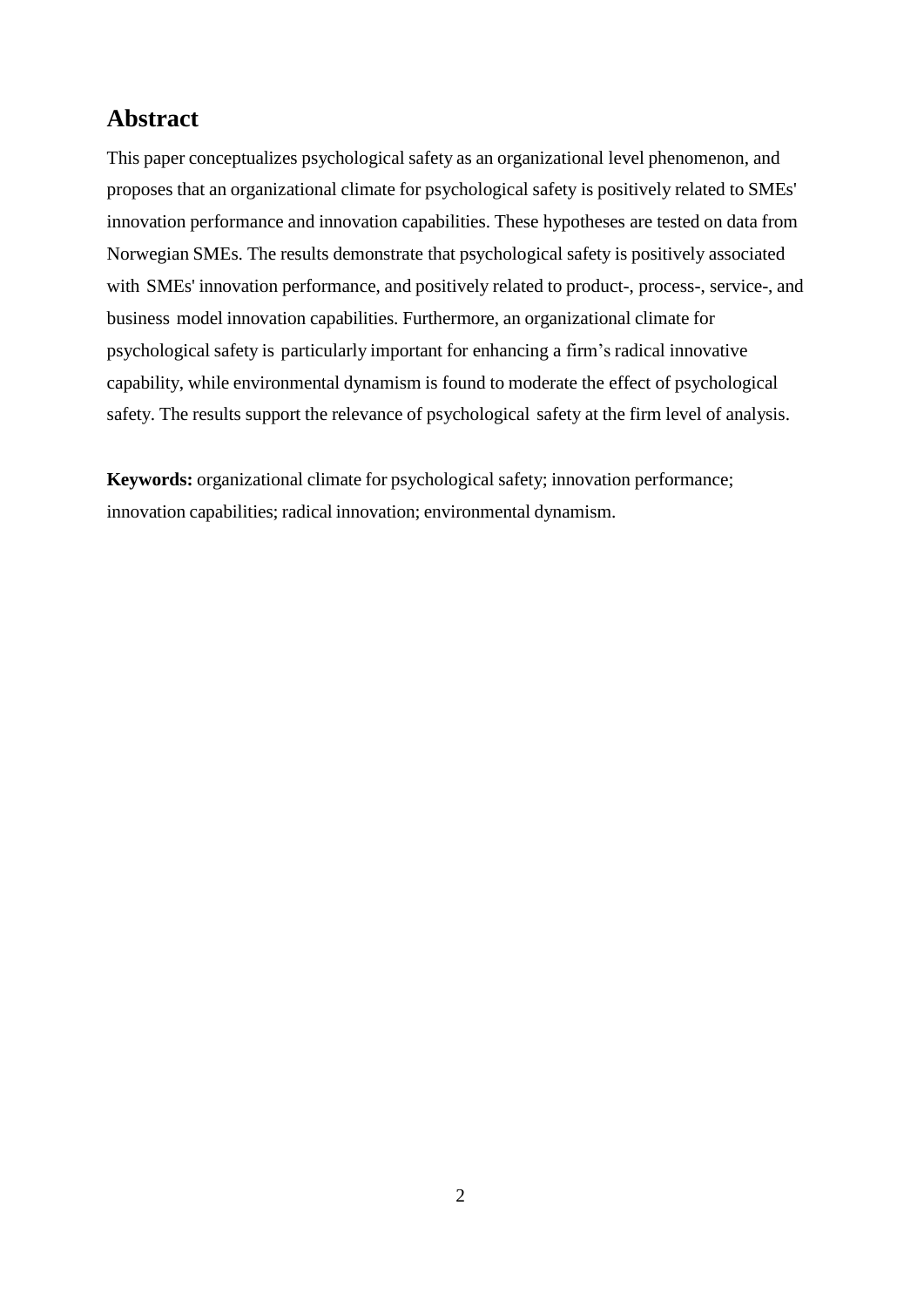# **Abstract**

This paper conceptualizes psychological safety as an organizational level phenomenon, and proposes that an organizational climate for psychological safety is positively related to SMEs' innovation performance and innovation capabilities. These hypotheses are tested on data from Norwegian SMEs. The results demonstrate that psychological safety is positively associated with SMEs' innovation performance, and positively related to product-, process-, service-, and business model innovation capabilities. Furthermore, an organizational climate for psychological safety is particularly important for enhancing a firm's radical innovative capability, while environmental dynamism is found to moderate the effect of psychological safety. The results support the relevance of psychological safety at the firm level of analysis.

**Keywords:** organizational climate for psychological safety; innovation performance; innovation capabilities; radical innovation; environmental dynamism.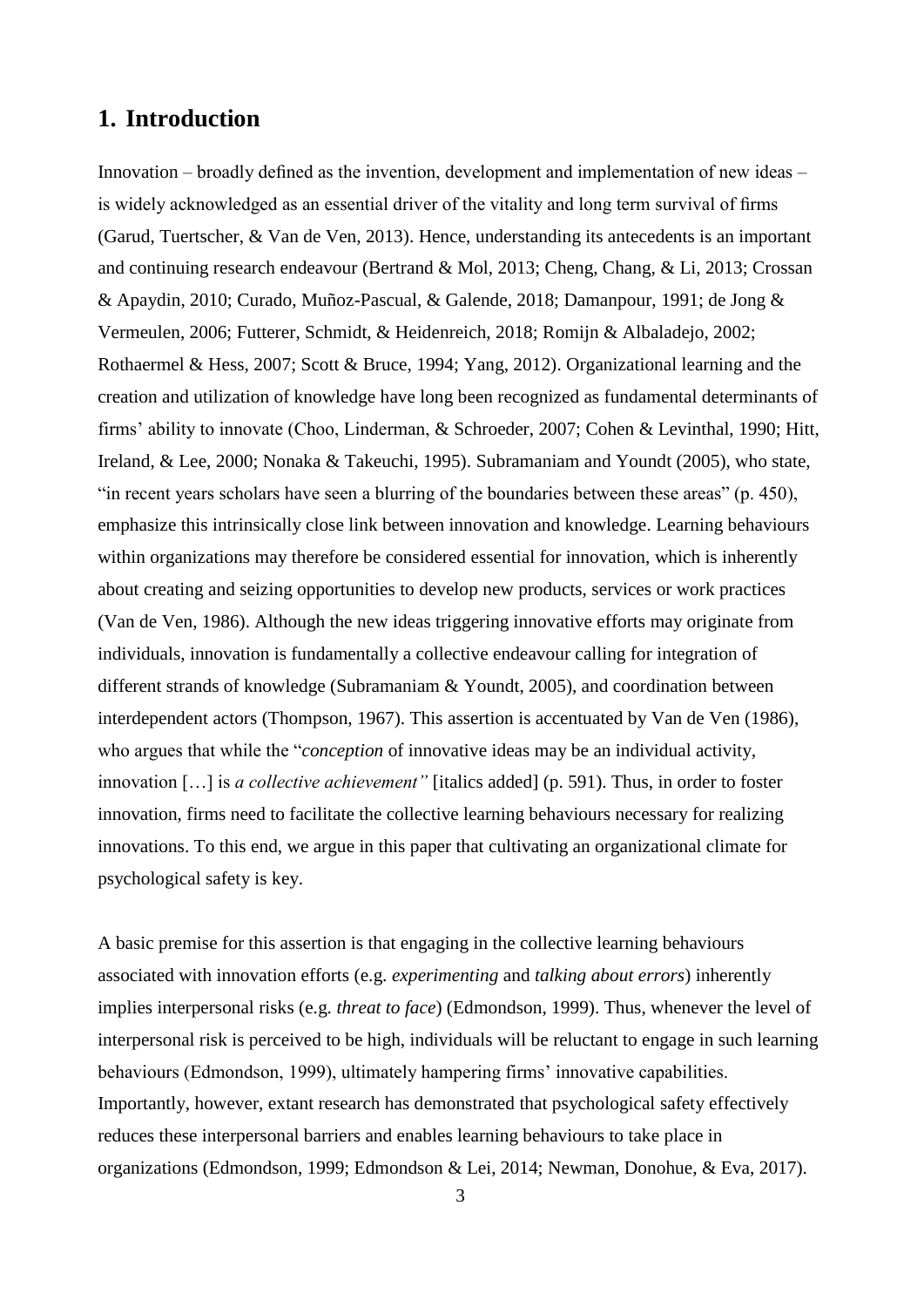## **1. Introduction**

Innovation – broadly defined as the invention, development and implementation of new ideas – is widely acknowledged as an essential driver of the vitality and long term survival of firms (Garud, Tuertscher, & Van de Ven, 2013). Hence, understanding its antecedents is an important and continuing research endeavour (Bertrand & Mol, 2013; Cheng, Chang, & Li, 2013; Crossan & Apaydin, 2010; Curado, Muñoz-Pascual, & Galende, 2018; Damanpour, 1991; de Jong & Vermeulen, 2006; Futterer, Schmidt, & Heidenreich, 2018; Romijn & Albaladejo, 2002; Rothaermel & Hess, 2007; Scott & Bruce, 1994; Yang, 2012). Organizational learning and the creation and utilization of knowledge have long been recognized as fundamental determinants of firms' ability to innovate (Choo, Linderman, & Schroeder, 2007; Cohen & Levinthal, 1990; Hitt, Ireland, & Lee, 2000; Nonaka & Takeuchi, 1995). Subramaniam and Youndt (2005), who state, "in recent years scholars have seen a blurring of the boundaries between these areas" (p. 450), emphasize this intrinsically close link between innovation and knowledge. Learning behaviours within organizations may therefore be considered essential for innovation, which is inherently about creating and seizing opportunities to develop new products, services or work practices (Van de Ven, 1986). Although the new ideas triggering innovative efforts may originate from individuals, innovation is fundamentally a collective endeavour calling for integration of different strands of knowledge (Subramaniam & Youndt, 2005), and coordination between interdependent actors (Thompson, 1967). This assertion is accentuated by Van de Ven (1986), who argues that while the "*conception* of innovative ideas may be an individual activity, innovation […] is *a collective achievement"* [italics added] (p. 591). Thus, in order to foster innovation, firms need to facilitate the collective learning behaviours necessary for realizing innovations. To this end, we argue in this paper that cultivating an organizational climate for psychological safety is key.

A basic premise for this assertion is that engaging in the collective learning behaviours associated with innovation efforts (e.g. *experimenting* and *talking about errors*) inherently implies interpersonal risks (e.g. *threat to face*) (Edmondson, 1999). Thus, whenever the level of interpersonal risk is perceived to be high, individuals will be reluctant to engage in such learning behaviours (Edmondson, 1999), ultimately hampering firms' innovative capabilities. Importantly, however, extant research has demonstrated that psychological safety effectively reduces these interpersonal barriers and enables learning behaviours to take place in organizations (Edmondson, 1999; Edmondson & Lei, 2014; Newman, Donohue, & Eva, 2017).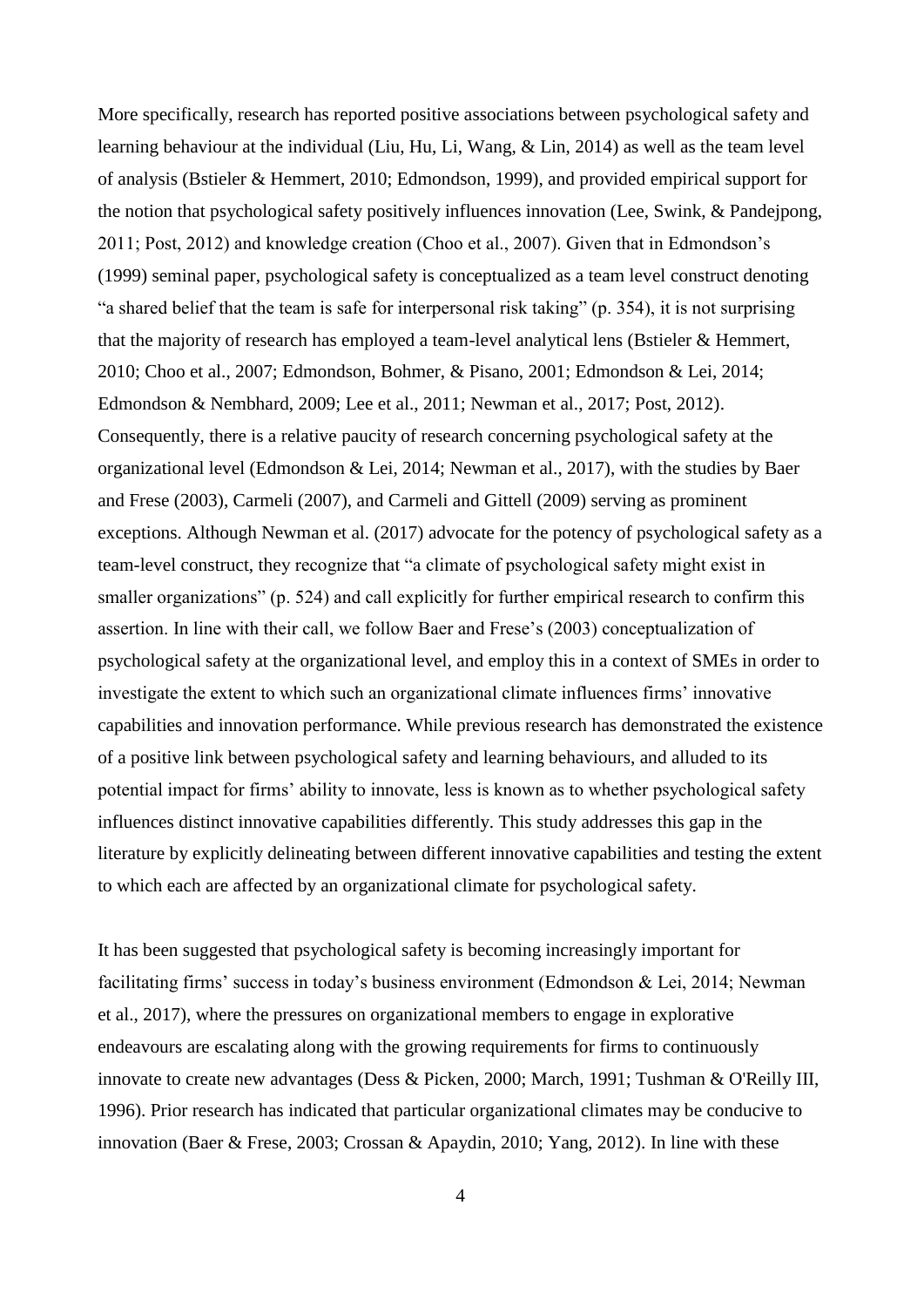More specifically, research has reported positive associations between psychological safety and learning behaviour at the individual (Liu, Hu, Li, Wang, & Lin, 2014) as well as the team level of analysis (Bstieler & Hemmert, 2010; Edmondson, 1999), and provided empirical support for the notion that psychological safety positively influences innovation (Lee, Swink, & Pandejpong, 2011; Post, 2012) and knowledge creation (Choo et al., 2007). Given that in Edmondson's (1999) seminal paper, psychological safety is conceptualized as a team level construct denoting "a shared belief that the team is safe for interpersonal risk taking" (p. 354), it is not surprising that the majority of research has employed a team-level analytical lens (Bstieler & Hemmert, 2010; Choo et al., 2007; Edmondson, Bohmer, & Pisano, 2001; Edmondson & Lei, 2014; Edmondson & Nembhard, 2009; Lee et al., 2011; Newman et al., 2017; Post, 2012). Consequently, there is a relative paucity of research concerning psychological safety at the organizational level (Edmondson & Lei, 2014; Newman et al., 2017), with the studies by Baer and Frese (2003), Carmeli (2007), and Carmeli and Gittell (2009) serving as prominent exceptions. Although Newman et al. (2017) advocate for the potency of psychological safety as a team-level construct, they recognize that "a climate of psychological safety might exist in smaller organizations" (p. 524) and call explicitly for further empirical research to confirm this assertion. In line with their call, we follow Baer and Frese's (2003) conceptualization of psychological safety at the organizational level, and employ this in a context of SMEs in order to investigate the extent to which such an organizational climate influences firms' innovative capabilities and innovation performance. While previous research has demonstrated the existence of a positive link between psychological safety and learning behaviours, and alluded to its potential impact for firms' ability to innovate, less is known as to whether psychological safety influences distinct innovative capabilities differently. This study addresses this gap in the literature by explicitly delineating between different innovative capabilities and testing the extent to which each are affected by an organizational climate for psychological safety.

It has been suggested that psychological safety is becoming increasingly important for facilitating firms' success in today's business environment (Edmondson & Lei, 2014; Newman et al., 2017), where the pressures on organizational members to engage in explorative endeavours are escalating along with the growing requirements for firms to continuously innovate to create new advantages (Dess & Picken, 2000; March, 1991; Tushman & O'Reilly III, 1996). Prior research has indicated that particular organizational climates may be conducive to innovation (Baer & Frese, 2003; Crossan & Apaydin, 2010; Yang, 2012). In line with these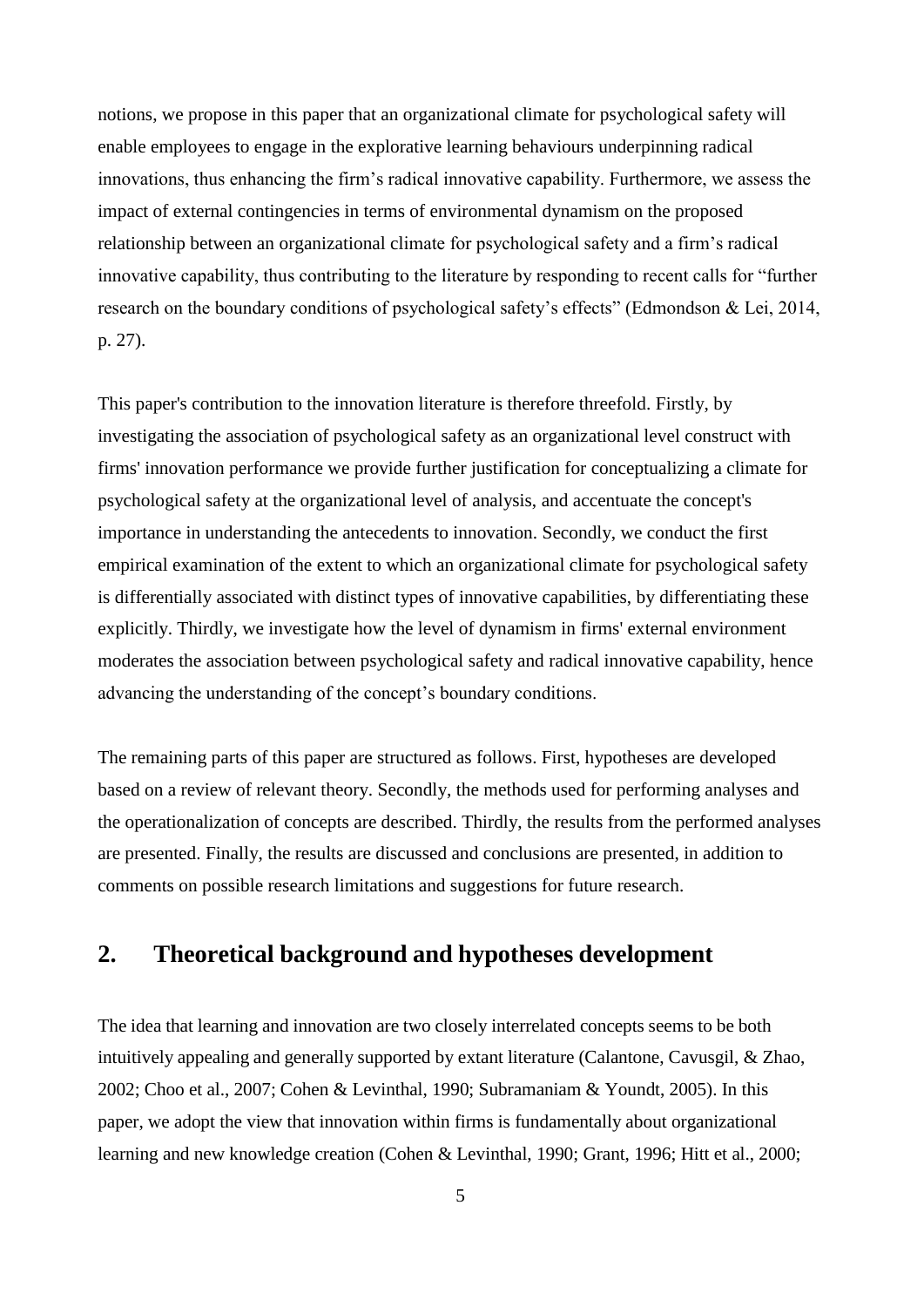notions, we propose in this paper that an organizational climate for psychological safety will enable employees to engage in the explorative learning behaviours underpinning radical innovations, thus enhancing the firm's radical innovative capability. Furthermore, we assess the impact of external contingencies in terms of environmental dynamism on the proposed relationship between an organizational climate for psychological safety and a firm's radical innovative capability, thus contributing to the literature by responding to recent calls for "further research on the boundary conditions of psychological safety's effects" (Edmondson & Lei, 2014, p. 27).

This paper's contribution to the innovation literature is therefore threefold. Firstly, by investigating the association of psychological safety as an organizational level construct with firms' innovation performance we provide further justification for conceptualizing a climate for psychological safety at the organizational level of analysis, and accentuate the concept's importance in understanding the antecedents to innovation. Secondly, we conduct the first empirical examination of the extent to which an organizational climate for psychological safety is differentially associated with distinct types of innovative capabilities, by differentiating these explicitly. Thirdly, we investigate how the level of dynamism in firms' external environment moderates the association between psychological safety and radical innovative capability, hence advancing the understanding of the concept's boundary conditions.

The remaining parts of this paper are structured as follows. First, hypotheses are developed based on a review of relevant theory. Secondly, the methods used for performing analyses and the operationalization of concepts are described. Thirdly, the results from the performed analyses are presented. Finally, the results are discussed and conclusions are presented, in addition to comments on possible research limitations and suggestions for future research.

### **2. Theoretical background and hypotheses development**

The idea that learning and innovation are two closely interrelated concepts seems to be both intuitively appealing and generally supported by extant literature (Calantone, Cavusgil, & Zhao, 2002; Choo et al., 2007; Cohen & Levinthal, 1990; Subramaniam & Youndt, 2005). In this paper, we adopt the view that innovation within firms is fundamentally about organizational learning and new knowledge creation (Cohen & Levinthal, 1990; Grant, 1996; Hitt et al., 2000;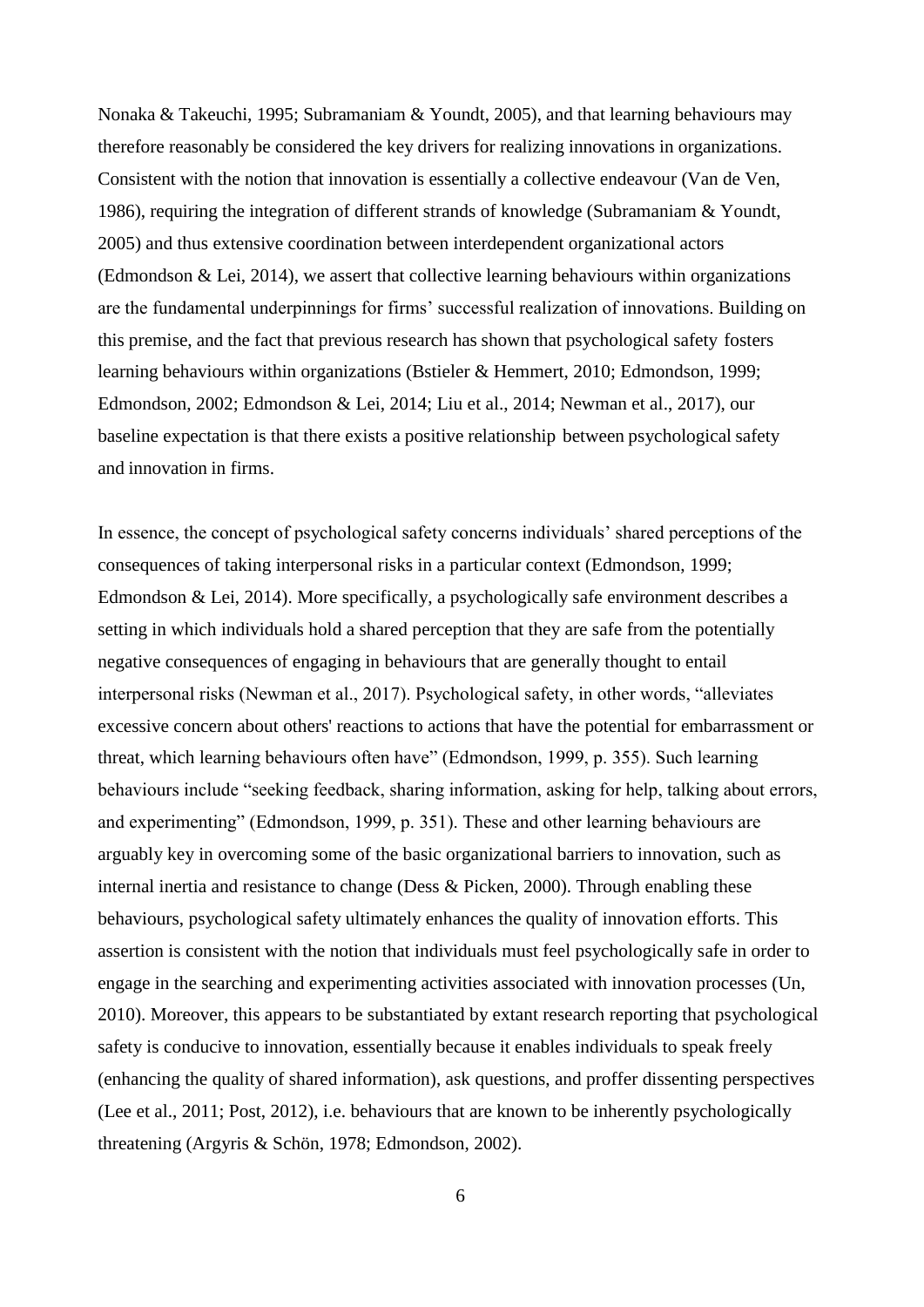Nonaka & Takeuchi, 1995; Subramaniam & Youndt, 2005), and that learning behaviours may therefore reasonably be considered the key drivers for realizing innovations in organizations. Consistent with the notion that innovation is essentially a collective endeavour (Van de Ven, 1986), requiring the integration of different strands of knowledge (Subramaniam & Youndt, 2005) and thus extensive coordination between interdependent organizational actors (Edmondson & Lei, 2014), we assert that collective learning behaviours within organizations are the fundamental underpinnings for firms' successful realization of innovations. Building on this premise, and the fact that previous research has shown that psychological safety fosters learning behaviours within organizations (Bstieler & Hemmert, 2010; Edmondson, 1999; Edmondson, 2002; Edmondson & Lei, 2014; Liu et al., 2014; Newman et al., 2017), our baseline expectation is that there exists a positive relationship between psychological safety and innovation in firms.

In essence, the concept of psychological safety concerns individuals' shared perceptions of the consequences of taking interpersonal risks in a particular context (Edmondson, 1999; Edmondson & Lei, 2014). More specifically, a psychologically safe environment describes a setting in which individuals hold a shared perception that they are safe from the potentially negative consequences of engaging in behaviours that are generally thought to entail interpersonal risks (Newman et al., 2017). Psychological safety, in other words, "alleviates excessive concern about others' reactions to actions that have the potential for embarrassment or threat, which learning behaviours often have" (Edmondson, 1999, p. 355). Such learning behaviours include "seeking feedback, sharing information, asking for help, talking about errors, and experimenting" (Edmondson, 1999, p. 351). These and other learning behaviours are arguably key in overcoming some of the basic organizational barriers to innovation, such as internal inertia and resistance to change (Dess & Picken, 2000). Through enabling these behaviours, psychological safety ultimately enhances the quality of innovation efforts. This assertion is consistent with the notion that individuals must feel psychologically safe in order to engage in the searching and experimenting activities associated with innovation processes (Un, 2010). Moreover, this appears to be substantiated by extant research reporting that psychological safety is conducive to innovation, essentially because it enables individuals to speak freely (enhancing the quality of shared information), ask questions, and proffer dissenting perspectives (Lee et al., 2011; Post, 2012), i.e. behaviours that are known to be inherently psychologically threatening (Argyris & Schön, 1978; Edmondson, 2002).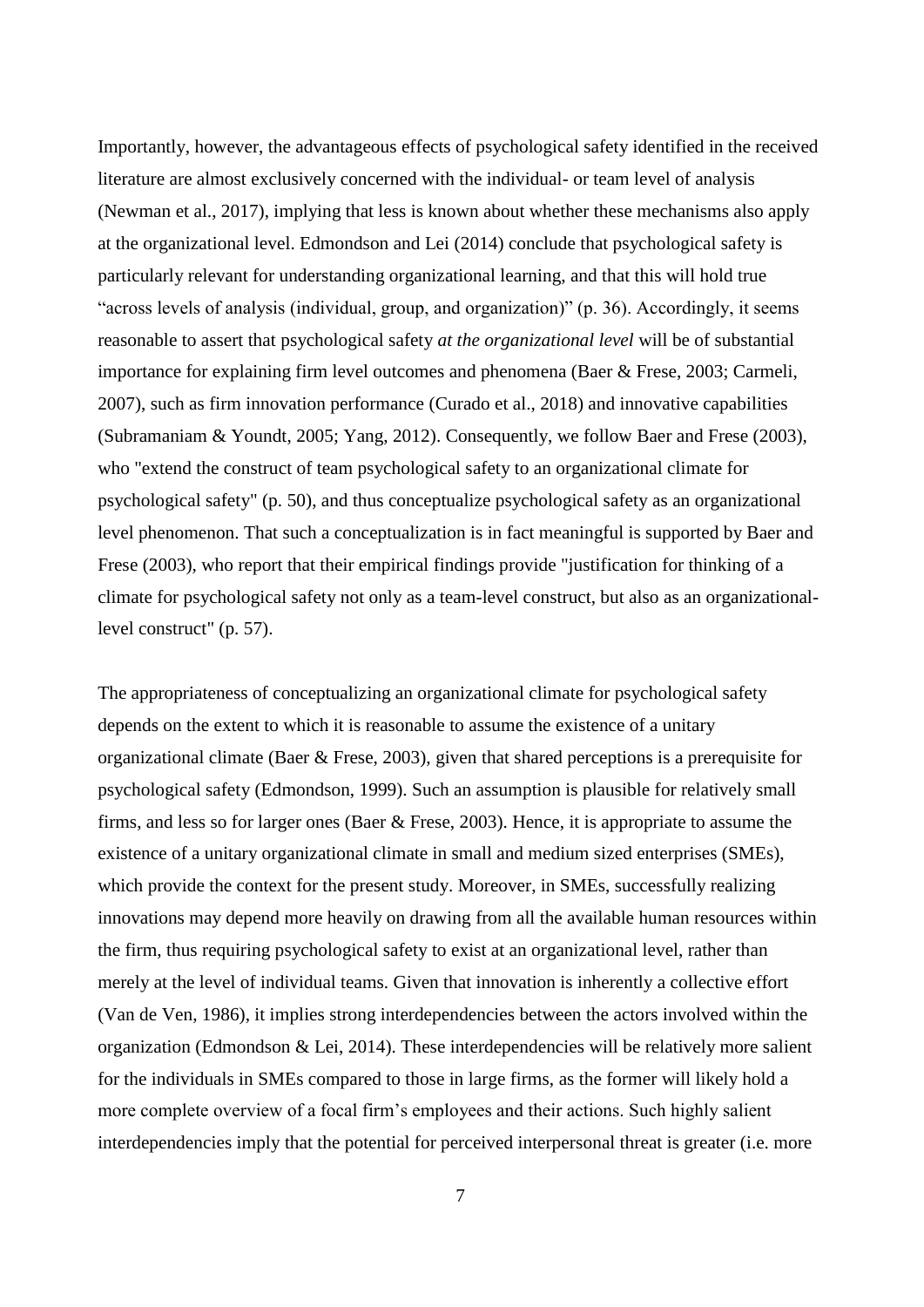Importantly, however, the advantageous effects of psychological safety identified in the received literature are almost exclusively concerned with the individual- or team level of analysis (Newman et al., 2017), implying that less is known about whether these mechanisms also apply at the organizational level. Edmondson and Lei (2014) conclude that psychological safety is particularly relevant for understanding organizational learning, and that this will hold true "across levels of analysis (individual, group, and organization)" (p. 36). Accordingly, it seems reasonable to assert that psychological safety *at the organizational level* will be of substantial importance for explaining firm level outcomes and phenomena (Baer & Frese, 2003; Carmeli, 2007), such as firm innovation performance (Curado et al., 2018) and innovative capabilities (Subramaniam & Youndt, 2005; Yang, 2012). Consequently, we follow Baer and Frese (2003), who "extend the construct of team psychological safety to an organizational climate for psychological safety" (p. 50), and thus conceptualize psychological safety as an organizational level phenomenon. That such a conceptualization is in fact meaningful is supported by Baer and Frese (2003), who report that their empirical findings provide "justification for thinking of a climate for psychological safety not only as a team-level construct, but also as an organizationallevel construct" (p. 57).

The appropriateness of conceptualizing an organizational climate for psychological safety depends on the extent to which it is reasonable to assume the existence of a unitary organizational climate (Baer & Frese, 2003), given that shared perceptions is a prerequisite for psychological safety (Edmondson, 1999). Such an assumption is plausible for relatively small firms, and less so for larger ones (Baer & Frese, 2003). Hence, it is appropriate to assume the existence of a unitary organizational climate in small and medium sized enterprises (SMEs), which provide the context for the present study. Moreover, in SMEs, successfully realizing innovations may depend more heavily on drawing from all the available human resources within the firm, thus requiring psychological safety to exist at an organizational level, rather than merely at the level of individual teams. Given that innovation is inherently a collective effort (Van de Ven, 1986), it implies strong interdependencies between the actors involved within the organization (Edmondson & Lei, 2014). These interdependencies will be relatively more salient for the individuals in SMEs compared to those in large firms, as the former will likely hold a more complete overview of a focal firm's employees and their actions. Such highly salient interdependencies imply that the potential for perceived interpersonal threat is greater (i.e. more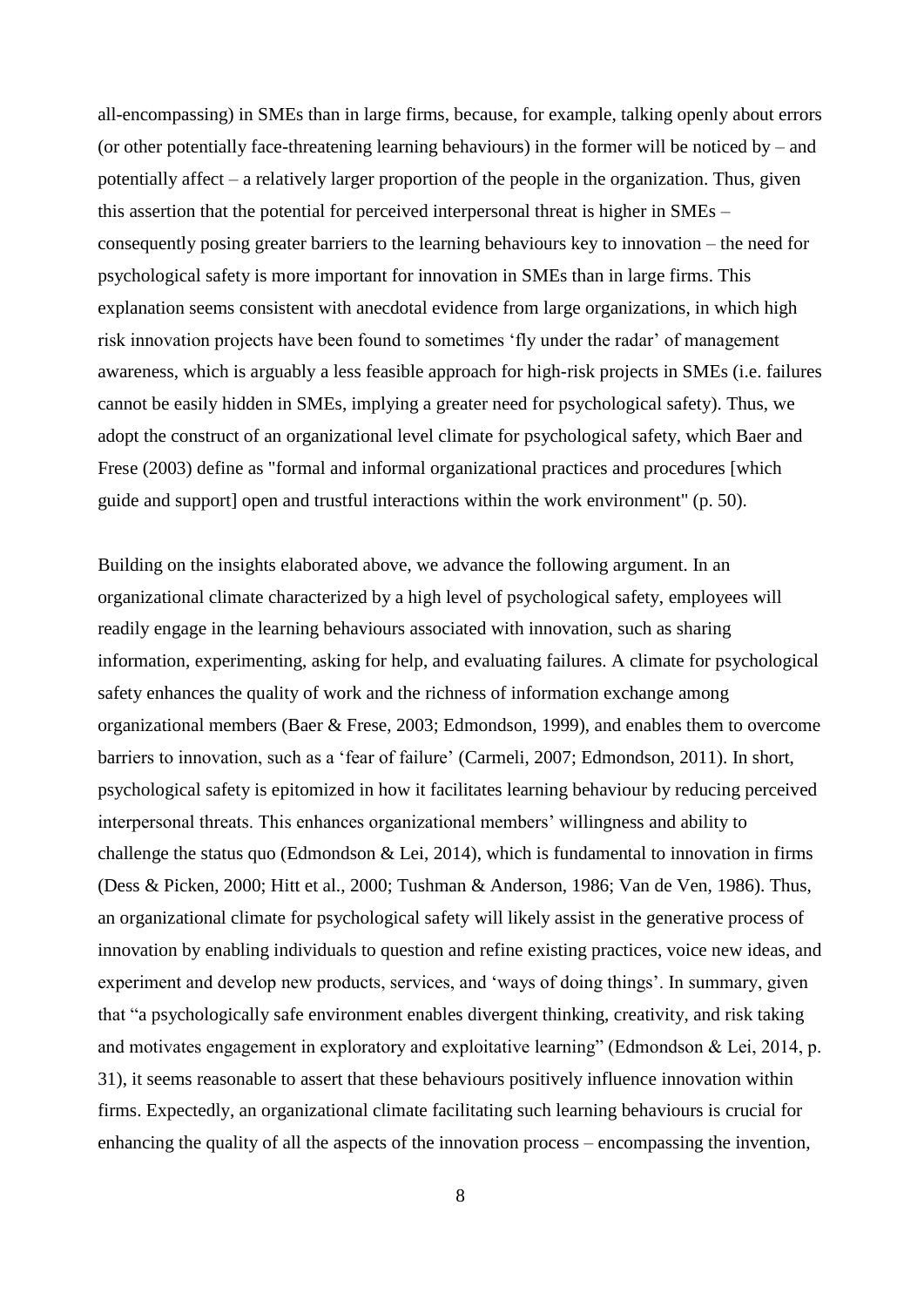all-encompassing) in SMEs than in large firms, because, for example, talking openly about errors (or other potentially face-threatening learning behaviours) in the former will be noticed by – and potentially affect – a relatively larger proportion of the people in the organization. Thus, given this assertion that the potential for perceived interpersonal threat is higher in SMEs – consequently posing greater barriers to the learning behaviours key to innovation – the need for psychological safety is more important for innovation in SMEs than in large firms. This explanation seems consistent with anecdotal evidence from large organizations, in which high risk innovation projects have been found to sometimes 'fly under the radar' of management awareness, which is arguably a less feasible approach for high-risk projects in SMEs (i.e. failures cannot be easily hidden in SMEs, implying a greater need for psychological safety). Thus, we adopt the construct of an organizational level climate for psychological safety, which Baer and Frese (2003) define as "formal and informal organizational practices and procedures [which guide and support] open and trustful interactions within the work environment" (p. 50).

Building on the insights elaborated above, we advance the following argument. In an organizational climate characterized by a high level of psychological safety, employees will readily engage in the learning behaviours associated with innovation, such as sharing information, experimenting, asking for help, and evaluating failures. A climate for psychological safety enhances the quality of work and the richness of information exchange among organizational members (Baer & Frese, 2003; Edmondson, 1999), and enables them to overcome barriers to innovation, such as a 'fear of failure' (Carmeli, 2007; Edmondson, 2011). In short, psychological safety is epitomized in how it facilitates learning behaviour by reducing perceived interpersonal threats. This enhances organizational members' willingness and ability to challenge the status quo (Edmondson  $\&$  Lei, 2014), which is fundamental to innovation in firms (Dess & Picken, 2000; Hitt et al., 2000; Tushman & Anderson, 1986; Van de Ven, 1986). Thus, an organizational climate for psychological safety will likely assist in the generative process of innovation by enabling individuals to question and refine existing practices, voice new ideas, and experiment and develop new products, services, and 'ways of doing things'. In summary, given that "a psychologically safe environment enables divergent thinking, creativity, and risk taking and motivates engagement in exploratory and exploitative learning" (Edmondson & Lei, 2014, p. 31), it seems reasonable to assert that these behaviours positively influence innovation within firms. Expectedly, an organizational climate facilitating such learning behaviours is crucial for enhancing the quality of all the aspects of the innovation process – encompassing the invention,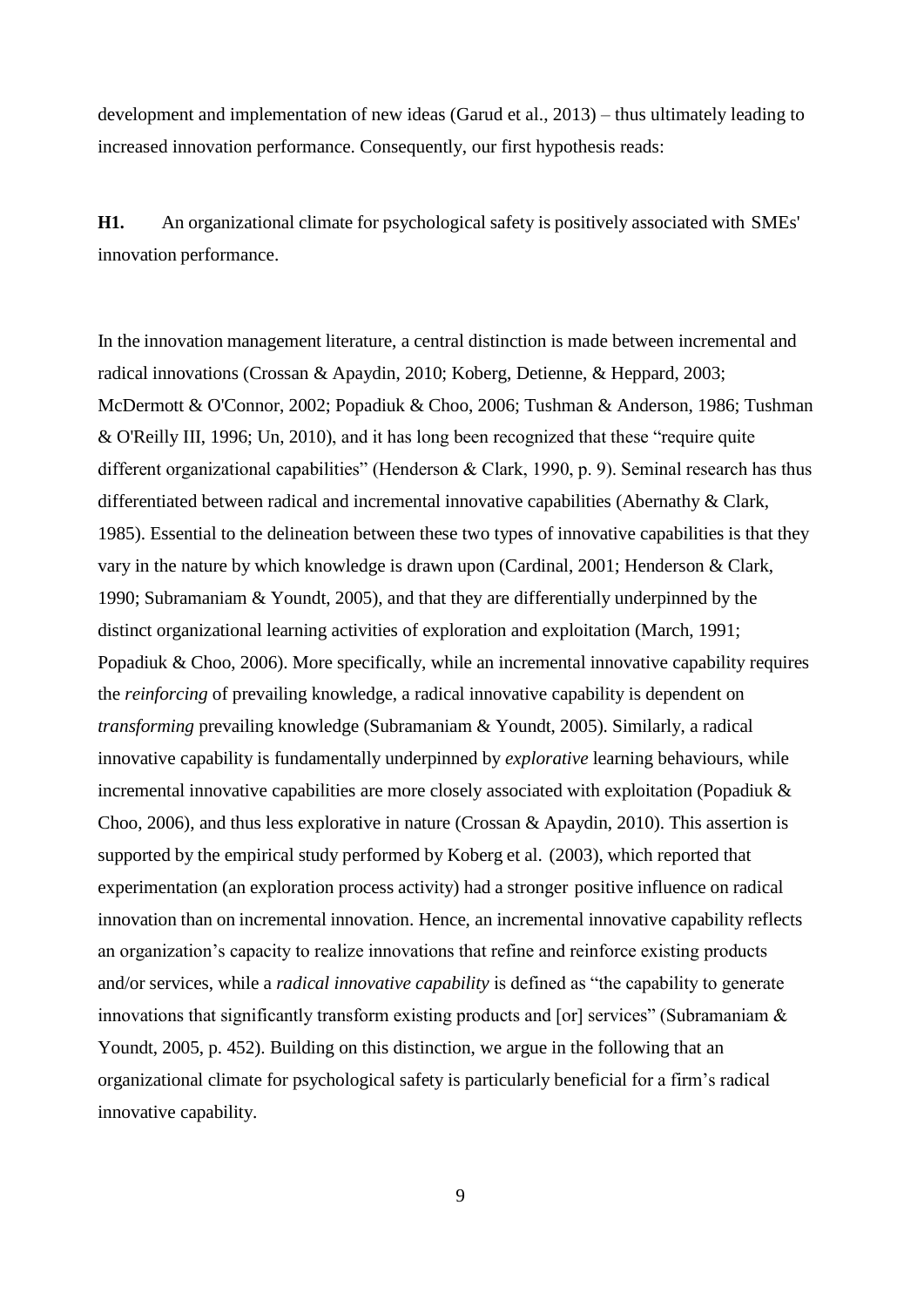development and implementation of new ideas (Garud et al., 2013) – thus ultimately leading to increased innovation performance. Consequently, our first hypothesis reads:

**H1.** An organizational climate for psychological safety is positively associated with SMEs' innovation performance.

In the innovation management literature, a central distinction is made between incremental and radical innovations (Crossan & Apaydin, 2010; Koberg, Detienne, & Heppard, 2003; McDermott & O'Connor, 2002; Popadiuk & Choo, 2006; Tushman & Anderson, 1986; Tushman & O'Reilly III, 1996; Un, 2010), and it has long been recognized that these "require quite different organizational capabilities" (Henderson & Clark, 1990, p. 9). Seminal research has thus differentiated between radical and incremental innovative capabilities (Abernathy & Clark, 1985). Essential to the delineation between these two types of innovative capabilities is that they vary in the nature by which knowledge is drawn upon (Cardinal, 2001; Henderson & Clark, 1990; Subramaniam & Youndt, 2005), and that they are differentially underpinned by the distinct organizational learning activities of exploration and exploitation (March, 1991; Popadiuk & Choo, 2006). More specifically, while an incremental innovative capability requires the *reinforcing* of prevailing knowledge, a radical innovative capability is dependent on *transforming* prevailing knowledge (Subramaniam & Youndt, 2005). Similarly, a radical innovative capability is fundamentally underpinned by *explorative* learning behaviours, while incremental innovative capabilities are more closely associated with exploitation (Popadiuk & Choo, 2006), and thus less explorative in nature (Crossan & Apaydin, 2010). This assertion is supported by the empirical study performed by Koberg et al. (2003), which reported that experimentation (an exploration process activity) had a stronger positive influence on radical innovation than on incremental innovation. Hence, an incremental innovative capability reflects an organization's capacity to realize innovations that refine and reinforce existing products and/or services, while a *radical innovative capability* is defined as "the capability to generate innovations that significantly transform existing products and [or] services" (Subramaniam & Youndt, 2005, p. 452). Building on this distinction, we argue in the following that an organizational climate for psychological safety is particularly beneficial for a firm's radical innovative capability.

9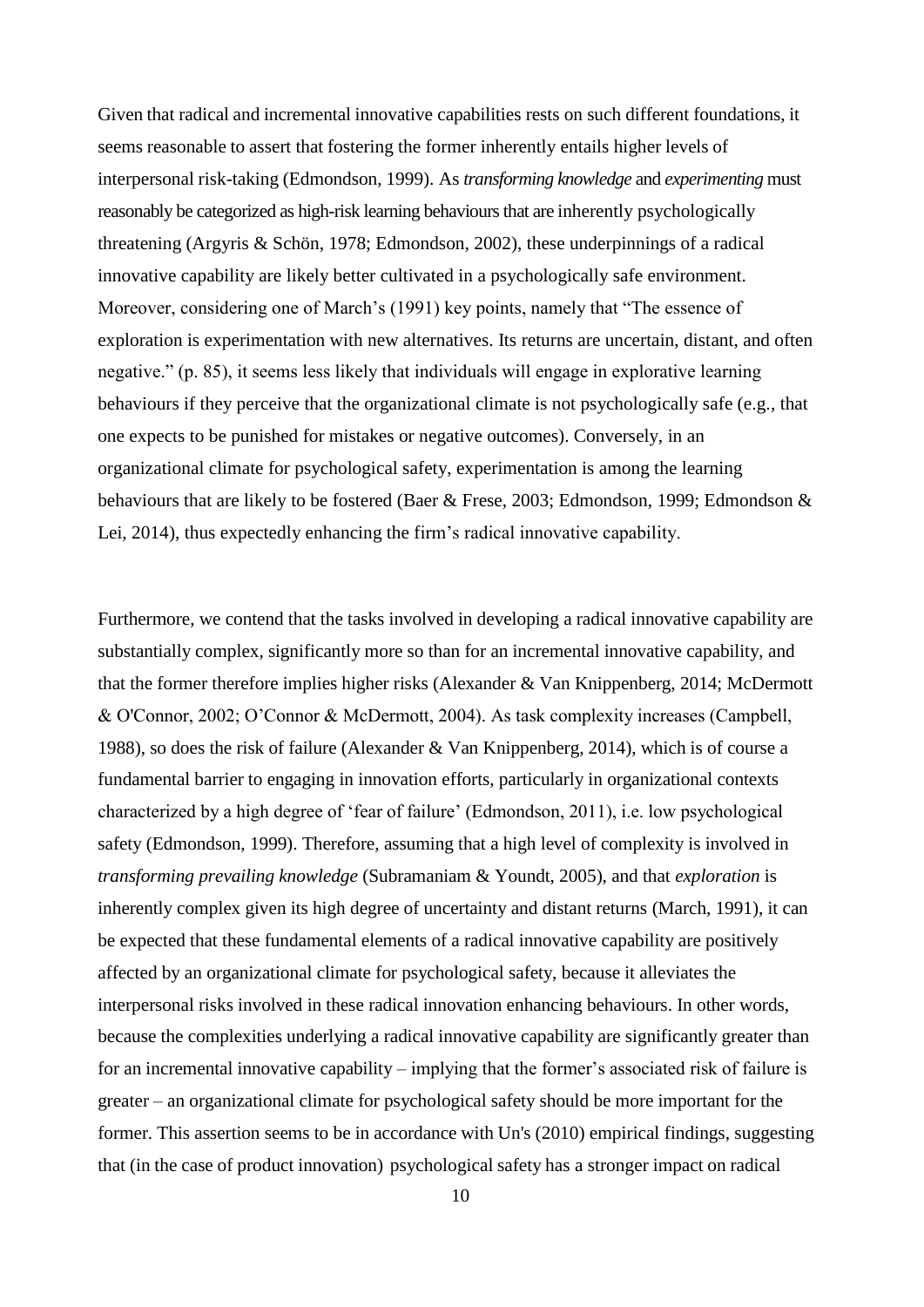Given that radical and incremental innovative capabilities rests on such different foundations, it seems reasonable to assert that fostering the former inherently entails higher levels of interpersonal risk-taking (Edmondson, 1999). As *transforming knowledge* and *experimenting* must reasonably be categorized as high-risk learning behaviours that are inherently psychologically threatening (Argyris & Schön, 1978; Edmondson, 2002), these underpinnings of a radical innovative capability are likely better cultivated in a psychologically safe environment. Moreover, considering one of March's (1991) key points, namely that "The essence of exploration is experimentation with new alternatives. Its returns are uncertain, distant, and often negative." (p. 85), it seems less likely that individuals will engage in explorative learning behaviours if they perceive that the organizational climate is not psychologically safe (e.g., that one expects to be punished for mistakes or negative outcomes). Conversely, in an organizational climate for psychological safety, experimentation is among the learning behaviours that are likely to be fostered (Baer & Frese, 2003; Edmondson, 1999; Edmondson & Lei, 2014), thus expectedly enhancing the firm's radical innovative capability.

Furthermore, we contend that the tasks involved in developing a radical innovative capability are substantially complex, significantly more so than for an incremental innovative capability, and that the former therefore implies higher risks (Alexander & Van Knippenberg, 2014; McDermott & O'Connor, 2002; O'Connor & McDermott, 2004). As task complexity increases (Campbell, 1988), so does the risk of failure (Alexander & Van Knippenberg, 2014), which is of course a fundamental barrier to engaging in innovation efforts, particularly in organizational contexts characterized by a high degree of 'fear of failure' (Edmondson, 2011), i.e. low psychological safety (Edmondson, 1999). Therefore, assuming that a high level of complexity is involved in *transforming prevailing knowledge* (Subramaniam & Youndt, 2005), and that *exploration* is inherently complex given its high degree of uncertainty and distant returns (March, 1991), it can be expected that these fundamental elements of a radical innovative capability are positively affected by an organizational climate for psychological safety, because it alleviates the interpersonal risks involved in these radical innovation enhancing behaviours. In other words, because the complexities underlying a radical innovative capability are significantly greater than for an incremental innovative capability – implying that the former's associated risk of failure is greater – an organizational climate for psychological safety should be more important for the former. This assertion seems to be in accordance with Un's (2010) empirical findings, suggesting that (in the case of product innovation) psychological safety has a stronger impact on radical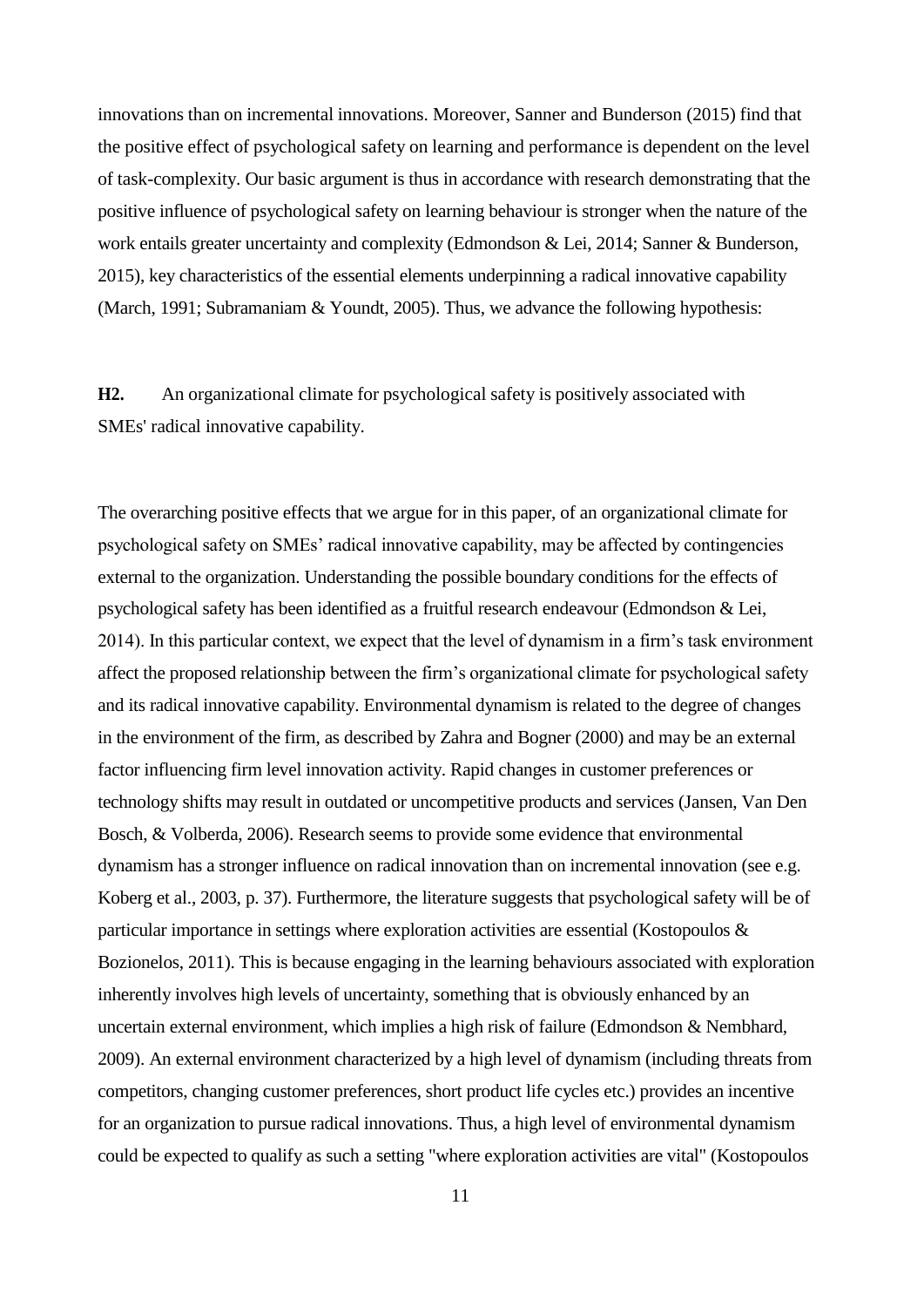innovations than on incremental innovations. Moreover, Sanner and Bunderson (2015) find that the positive effect of psychological safety on learning and performance is dependent on the level of task-complexity. Our basic argument is thus in accordance with research demonstrating that the positive influence of psychological safety on learning behaviour is stronger when the nature of the work entails greater uncertainty and complexity (Edmondson & Lei, 2014; Sanner & Bunderson, 2015), key characteristics of the essential elements underpinning a radical innovative capability (March, 1991; Subramaniam & Youndt, 2005). Thus, we advance the following hypothesis:

**H2.** An organizational climate for psychological safety is positively associated with SMEs' radical innovative capability.

The overarching positive effects that we argue for in this paper, of an organizational climate for psychological safety on SMEs' radical innovative capability, may be affected by contingencies external to the organization. Understanding the possible boundary conditions for the effects of psychological safety has been identified as a fruitful research endeavour (Edmondson & Lei, 2014). In this particular context, we expect that the level of dynamism in a firm's task environment affect the proposed relationship between the firm's organizational climate for psychological safety and its radical innovative capability. Environmental dynamism is related to the degree of changes in the environment of the firm, as described by Zahra and Bogner (2000) and may be an external factor influencing firm level innovation activity. Rapid changes in customer preferences or technology shifts may result in outdated or uncompetitive products and services (Jansen, Van Den Bosch, & Volberda, 2006). Research seems to provide some evidence that environmental dynamism has a stronger influence on radical innovation than on incremental innovation (see e.g. Koberg et al., 2003, p. 37). Furthermore, the literature suggests that psychological safety will be of particular importance in settings where exploration activities are essential (Kostopoulos & Bozionelos, 2011). This is because engaging in the learning behaviours associated with exploration inherently involves high levels of uncertainty, something that is obviously enhanced by an uncertain external environment, which implies a high risk of failure (Edmondson & Nembhard, 2009). An external environment characterized by a high level of dynamism (including threats from competitors, changing customer preferences, short product life cycles etc.) provides an incentive for an organization to pursue radical innovations. Thus, a high level of environmental dynamism could be expected to qualify as such a setting "where exploration activities are vital" (Kostopoulos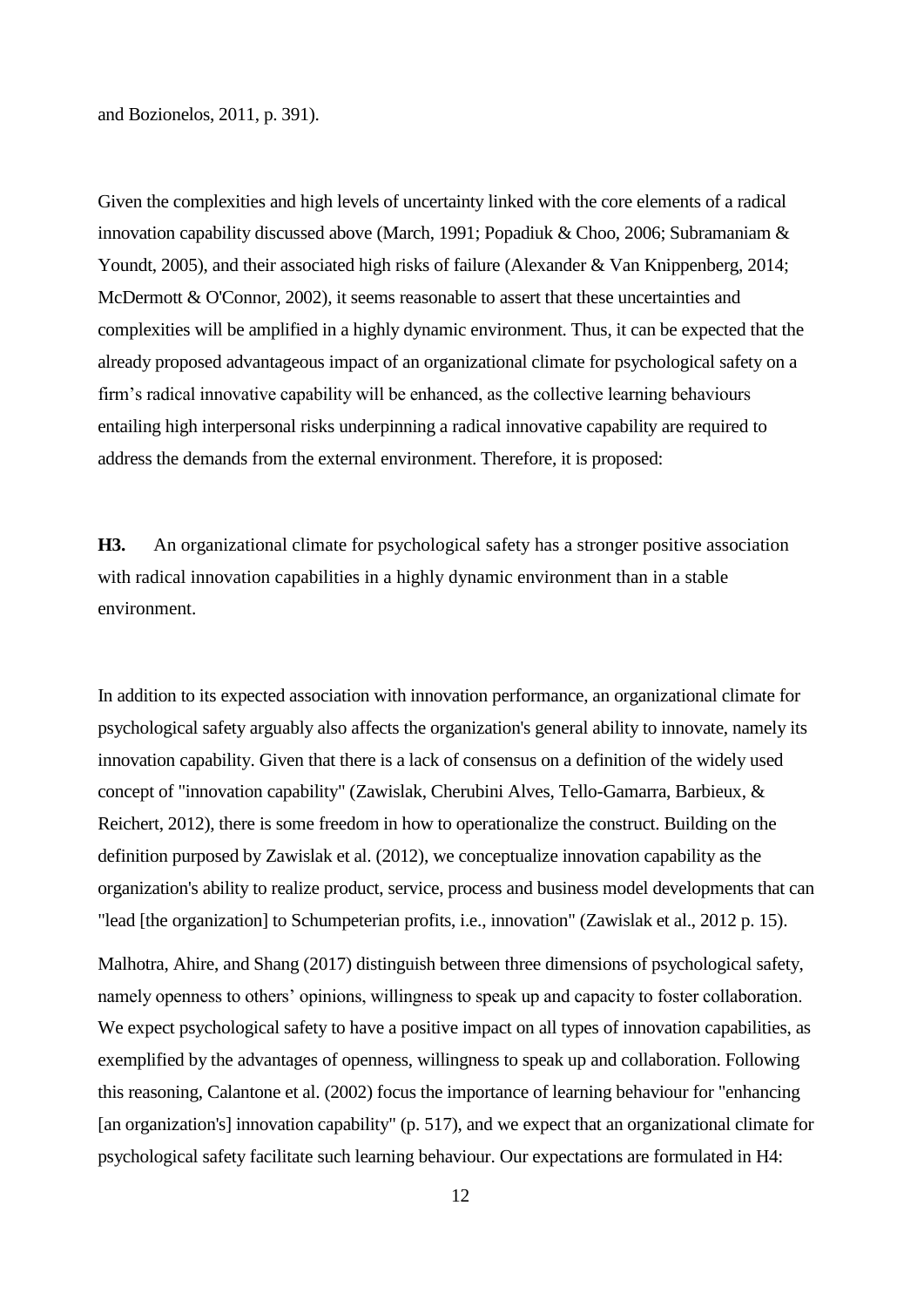and Bozionelos, 2011, p. 391).

Given the complexities and high levels of uncertainty linked with the core elements of a radical innovation capability discussed above (March, 1991; Popadiuk & Choo, 2006; Subramaniam & Youndt, 2005), and their associated high risks of failure (Alexander & Van Knippenberg, 2014; McDermott & O'Connor, 2002), it seems reasonable to assert that these uncertainties and complexities will be amplified in a highly dynamic environment. Thus, it can be expected that the already proposed advantageous impact of an organizational climate for psychological safety on a firm's radical innovative capability will be enhanced, as the collective learning behaviours entailing high interpersonal risks underpinning a radical innovative capability are required to address the demands from the external environment. Therefore, it is proposed:

**H3.** An organizational climate for psychological safety has a stronger positive association with radical innovation capabilities in a highly dynamic environment than in a stable environment.

In addition to its expected association with innovation performance, an organizational climate for psychological safety arguably also affects the organization's general ability to innovate, namely its innovation capability. Given that there is a lack of consensus on a definition of the widely used concept of "innovation capability" (Zawislak, Cherubini Alves, Tello-Gamarra, Barbieux, & Reichert, 2012), there is some freedom in how to operationalize the construct. Building on the definition purposed by Zawislak et al. (2012), we conceptualize innovation capability as the organization's ability to realize product, service, process and business model developments that can "lead [the organization] to Schumpeterian profits, i.e., innovation" (Zawislak et al., 2012 p. 15).

Malhotra, Ahire, and Shang (2017) distinguish between three dimensions of psychological safety, namely openness to others' opinions, willingness to speak up and capacity to foster collaboration. We expect psychological safety to have a positive impact on all types of innovation capabilities, as exemplified by the advantages of openness, willingness to speak up and collaboration. Following this reasoning, Calantone et al. (2002) focus the importance of learning behaviour for "enhancing [an organization's] innovation capability" (p. 517), and we expect that an organizational climate for psychological safety facilitate such learning behaviour. Our expectations are formulated in H4: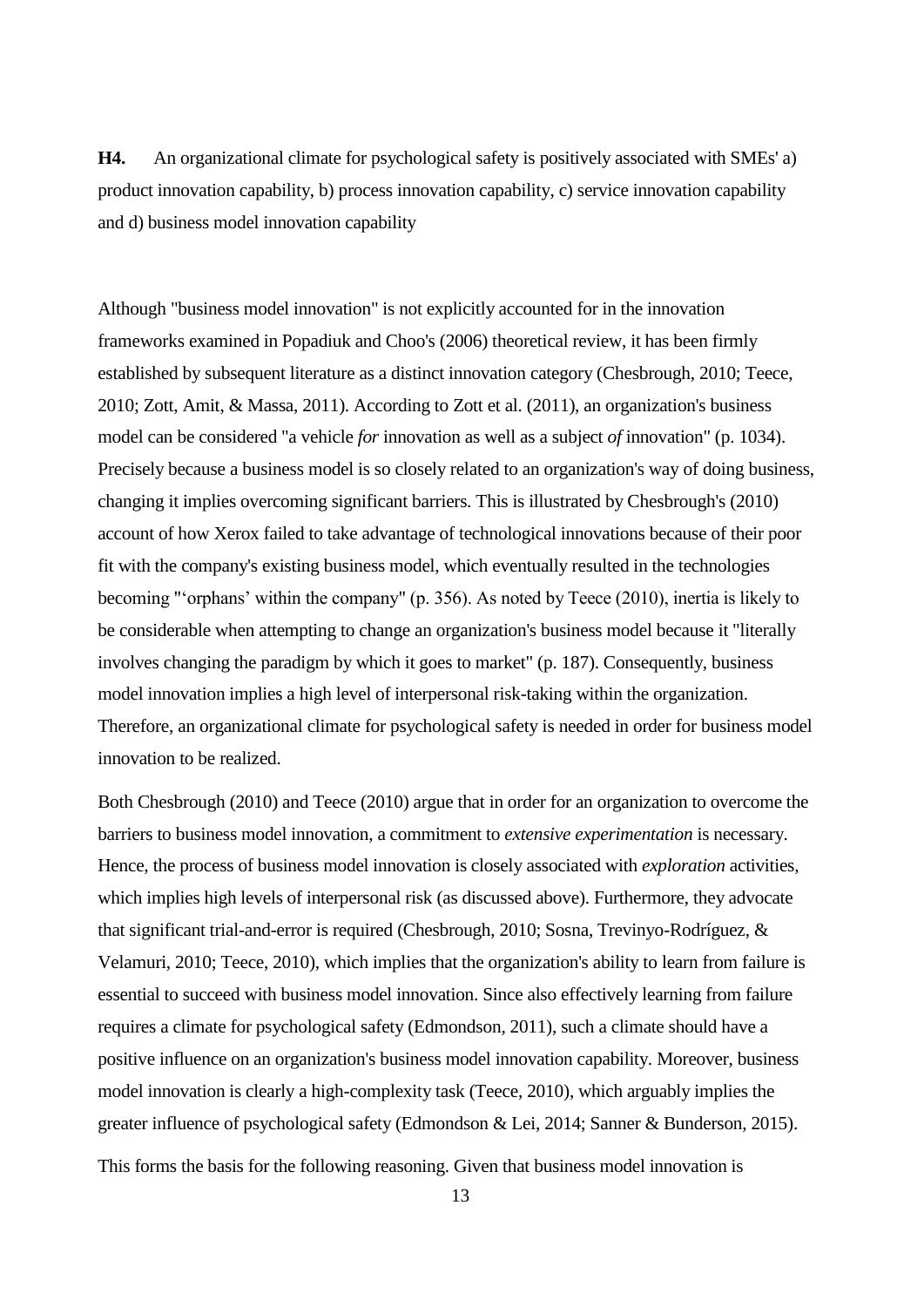**H4.** An organizational climate for psychological safety is positively associated with SMEs' a) product innovation capability, b) process innovation capability, c) service innovation capability and d) business model innovation capability

Although "business model innovation" is not explicitly accounted for in the innovation frameworks examined in Popadiuk and Choo's (2006) theoretical review, it has been firmly established by subsequent literature as a distinct innovation category (Chesbrough, 2010; Teece, 2010; Zott, Amit, & Massa, 2011). According to Zott et al. (2011), an organization's business model can be considered "a vehicle *for* innovation as well as a subject *of* innovation" (p. 1034). Precisely because a business model is so closely related to an organization's way of doing business, changing it implies overcoming significant barriers. This is illustrated by Chesbrough's (2010) account of how Xerox failed to take advantage of technological innovations because of their poor fit with the company's existing business model, which eventually resulted in the technologies becoming "'orphans' within the company" (p. 356). As noted by Teece (2010), inertia is likely to be considerable when attempting to change an organization's business model because it "literally involves changing the paradigm by which it goes to market" (p. 187). Consequently, business model innovation implies a high level of interpersonal risk-taking within the organization. Therefore, an organizational climate for psychological safety is needed in order for business model innovation to be realized.

Both Chesbrough (2010) and Teece (2010) argue that in order for an organization to overcome the barriers to business model innovation, a commitment to *extensive experimentation* is necessary. Hence, the process of business model innovation is closely associated with *exploration* activities, which implies high levels of interpersonal risk (as discussed above). Furthermore, they advocate that significant trial-and-error is required (Chesbrough, 2010; Sosna, Trevinyo-Rodríguez, & Velamuri, 2010; Teece, 2010), which implies that the organization's ability to learn from failure is essential to succeed with business model innovation. Since also effectively learning from failure requires a climate for psychological safety (Edmondson, 2011), such a climate should have a positive influence on an organization's business model innovation capability. Moreover, business model innovation is clearly a high-complexity task (Teece, 2010), which arguably implies the greater influence of psychological safety (Edmondson & Lei, 2014; Sanner & Bunderson, 2015).

This forms the basis for the following reasoning. Given that business model innovation is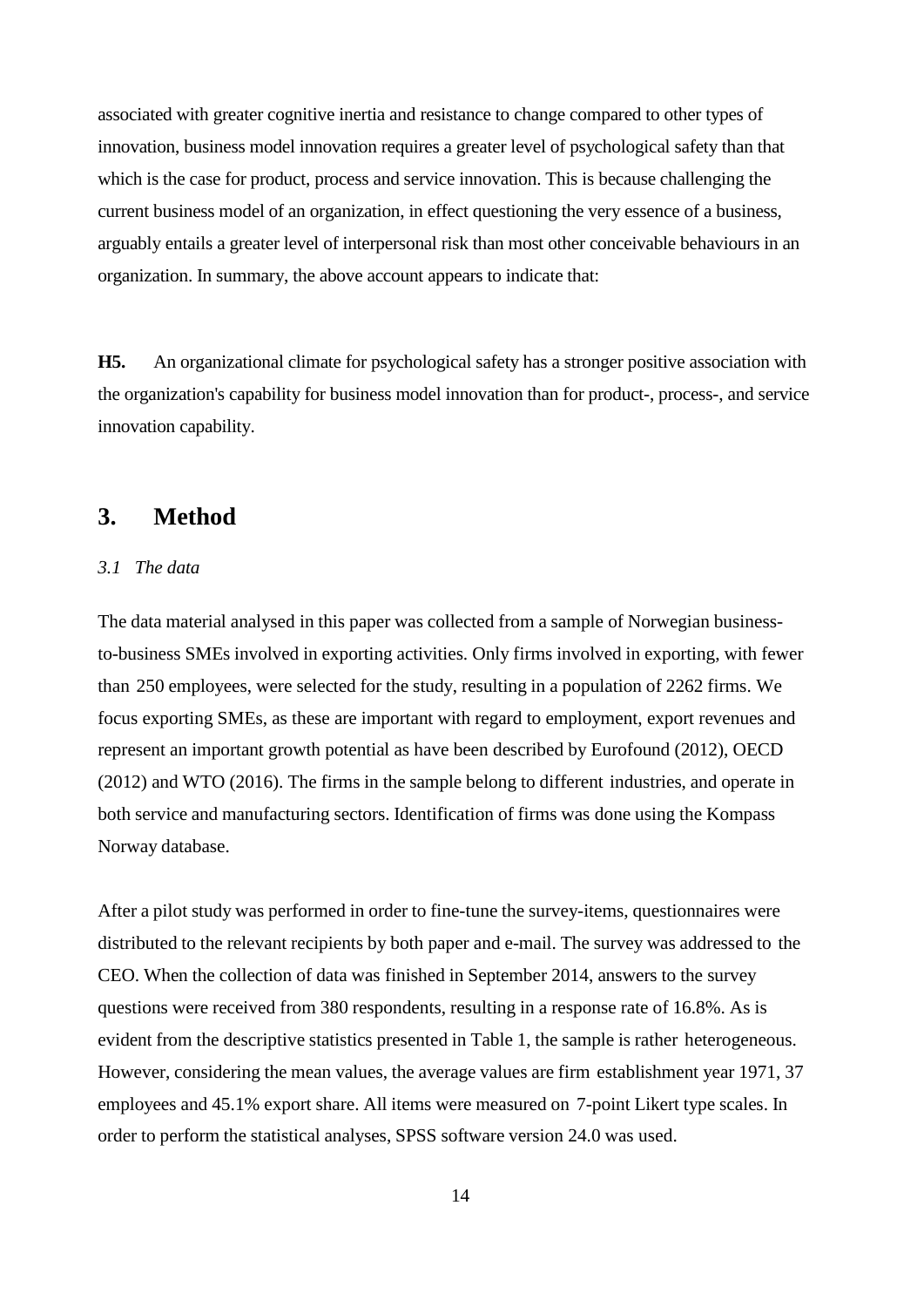associated with greater cognitive inertia and resistance to change compared to other types of innovation, business model innovation requires a greater level of psychological safety than that which is the case for product, process and service innovation. This is because challenging the current business model of an organization, in effect questioning the very essence of a business, arguably entails a greater level of interpersonal risk than most other conceivable behaviours in an organization. In summary, the above account appears to indicate that:

**H5.** An organizational climate for psychological safety has a stronger positive association with the organization's capability for business model innovation than for product-, process-, and service innovation capability.

### **3. Method**

### *3.1 The data*

The data material analysed in this paper was collected from a sample of Norwegian businessto-business SMEs involved in exporting activities. Only firms involved in exporting, with fewer than 250 employees, were selected for the study, resulting in a population of 2262 firms. We focus exporting SMEs, as these are important with regard to employment, export revenues and represent an important growth potential as have been described by Eurofound (2012), OECD (2012) and WTO (2016). The firms in the sample belong to different industries, and operate in both service and manufacturing sectors. Identification of firms was done using the Kompass Norway database.

After a pilot study was performed in order to fine-tune the survey-items, questionnaires were distributed to the relevant recipients by both paper and e-mail. The survey was addressed to the CEO. When the collection of data was finished in September 2014, answers to the survey questions were received from 380 respondents, resulting in a response rate of 16.8%. As is evident from the descriptive statistics presented in Table 1, the sample is rather heterogeneous. However, considering the mean values, the average values are firm establishment year 1971, 37 employees and 45.1% export share. All items were measured on 7-point Likert type scales. In order to perform the statistical analyses, SPSS software version 24.0 was used.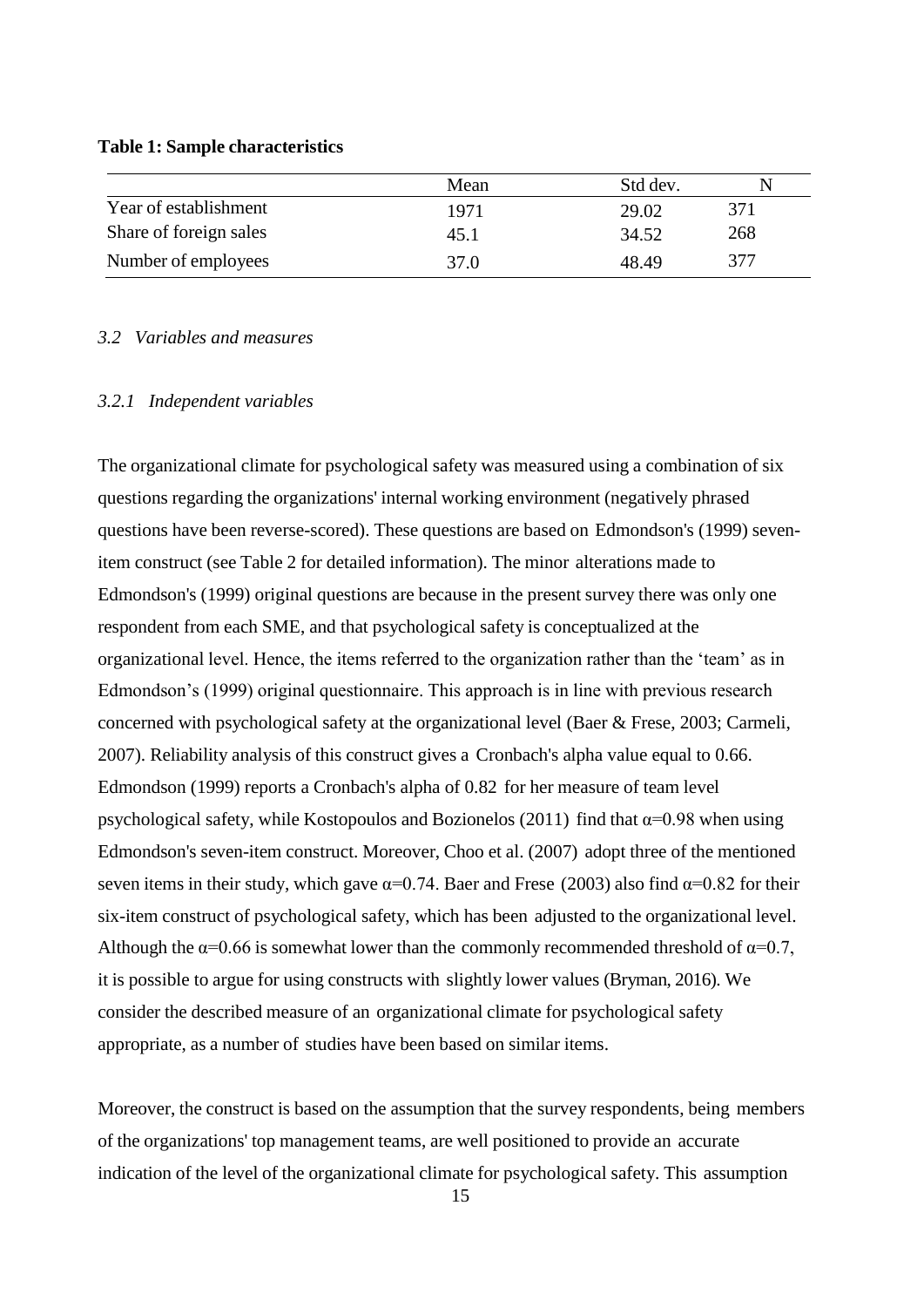#### **Table 1: Sample characteristics**

|                        | Mean | Std dev. |     |
|------------------------|------|----------|-----|
| Year of establishment  | 1971 | 29.02    | 371 |
| Share of foreign sales | 45.1 | 34.52    | 268 |
| Number of employees    | 37.0 | 48.49    | 377 |

### *3.2 Variables and measures*

#### *3.2.1 Independent variables*

The organizational climate for psychological safety was measured using a combination of six questions regarding the organizations' internal working environment (negatively phrased questions have been reverse-scored). These questions are based on Edmondson's (1999) sevenitem construct (see Table 2 for detailed information). The minor alterations made to Edmondson's (1999) original questions are because in the present survey there was only one respondent from each SME, and that psychological safety is conceptualized at the organizational level. Hence, the items referred to the organization rather than the 'team' as in Edmondson's (1999) original questionnaire. This approach is in line with previous research concerned with psychological safety at the organizational level (Baer & Frese, 2003; Carmeli, 2007). Reliability analysis of this construct gives a Cronbach's alpha value equal to 0.66. Edmondson (1999) reports a Cronbach's alpha of 0.82 for her measure of team level psychological safety, while Kostopoulos and Bozionelos (2011) find that  $\alpha$ =0.98 when using Edmondson's seven-item construct. Moreover, Choo et al. (2007) adopt three of the mentioned seven items in their study, which gave  $\alpha=0.74$ . Baer and Frese (2003) also find  $\alpha=0.82$  for their six-item construct of psychological safety, which has been adjusted to the organizational level. Although the  $\alpha$ =0.66 is somewhat lower than the commonly recommended threshold of  $\alpha$ =0.7, it is possible to argue for using constructs with slightly lower values (Bryman, 2016). We consider the described measure of an organizational climate for psychological safety appropriate, as a number of studies have been based on similar items.

Moreover, the construct is based on the assumption that the survey respondents, being members of the organizations' top management teams, are well positioned to provide an accurate indication of the level of the organizational climate for psychological safety. This assumption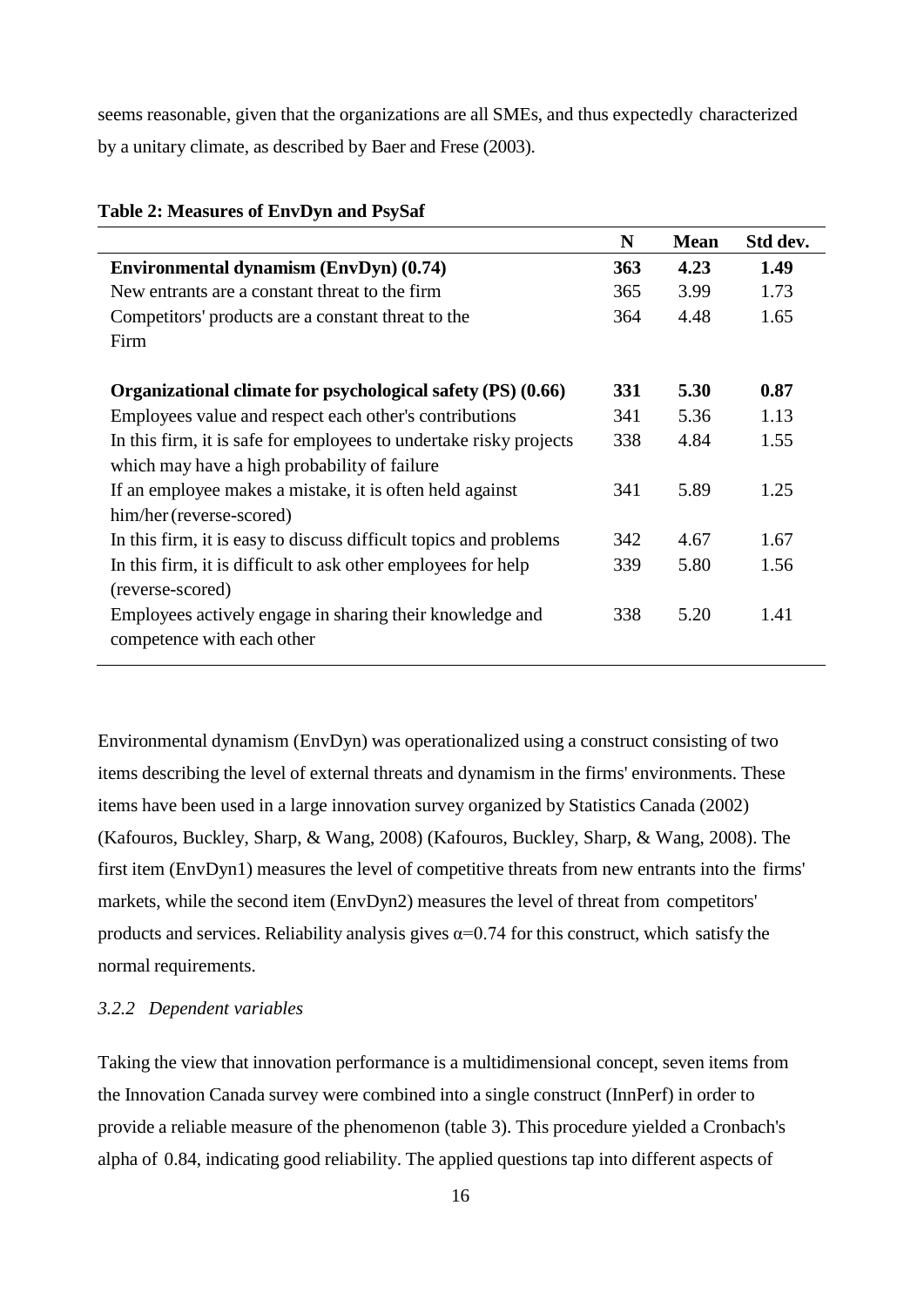seems reasonable, given that the organizations are all SMEs, and thus expectedly characterized by a unitary climate, as described by Baer and Frese (2003).

|                                                                    | N   | <b>Mean</b> | Std dev. |
|--------------------------------------------------------------------|-----|-------------|----------|
| <b>Environmental dynamism (EnvDyn) (0.74)</b>                      | 363 | 4.23        | 1.49     |
| New entrants are a constant threat to the firm                     | 365 | 3.99        | 1.73     |
| Competitors' products are a constant threat to the                 | 364 | 4.48        | 1.65     |
| Firm                                                               |     |             |          |
|                                                                    |     |             |          |
| Organizational climate for psychological safety (PS) (0.66)        | 331 | 5.30        | 0.87     |
| Employees value and respect each other's contributions             | 341 | 5.36        | 1.13     |
| In this firm, it is safe for employees to undertake risky projects | 338 | 4.84        | 1.55     |
| which may have a high probability of failure                       |     |             |          |
| If an employee makes a mistake, it is often held against           | 341 | 5.89        | 1.25     |
| him/her (reverse-scored)                                           |     |             |          |
| In this firm, it is easy to discuss difficult topics and problems  | 342 | 4.67        | 1.67     |
| In this firm, it is difficult to ask other employees for help      | 339 | 5.80        | 1.56     |
| (reverse-scored)                                                   |     |             |          |
| Employees actively engage in sharing their knowledge and           | 338 | 5.20        | 1.41     |
| competence with each other                                         |     |             |          |

#### **Table 2: Measures of EnvDyn and PsySaf**

Environmental dynamism (EnvDyn) was operationalized using a construct consisting of two items describing the level of external threats and dynamism in the firms' environments. These items have been used in a large innovation survey organized by Statistics Canada (2002) (Kafouros, Buckley, Sharp, & Wang, 2008) (Kafouros, Buckley, Sharp, & Wang, 2008). The first item (EnvDyn1) measures the level of competitive threats from new entrants into the firms' markets, while the second item (EnvDyn2) measures the level of threat from competitors' products and services. Reliability analysis gives  $\alpha$ =0.74 for this construct, which satisfy the normal requirements.

### *3.2.2 Dependent variables*

Taking the view that innovation performance is a multidimensional concept, seven items from the Innovation Canada survey were combined into a single construct (InnPerf) in order to provide a reliable measure of the phenomenon (table 3). This procedure yielded a Cronbach's alpha of 0.84, indicating good reliability. The applied questions tap into different aspects of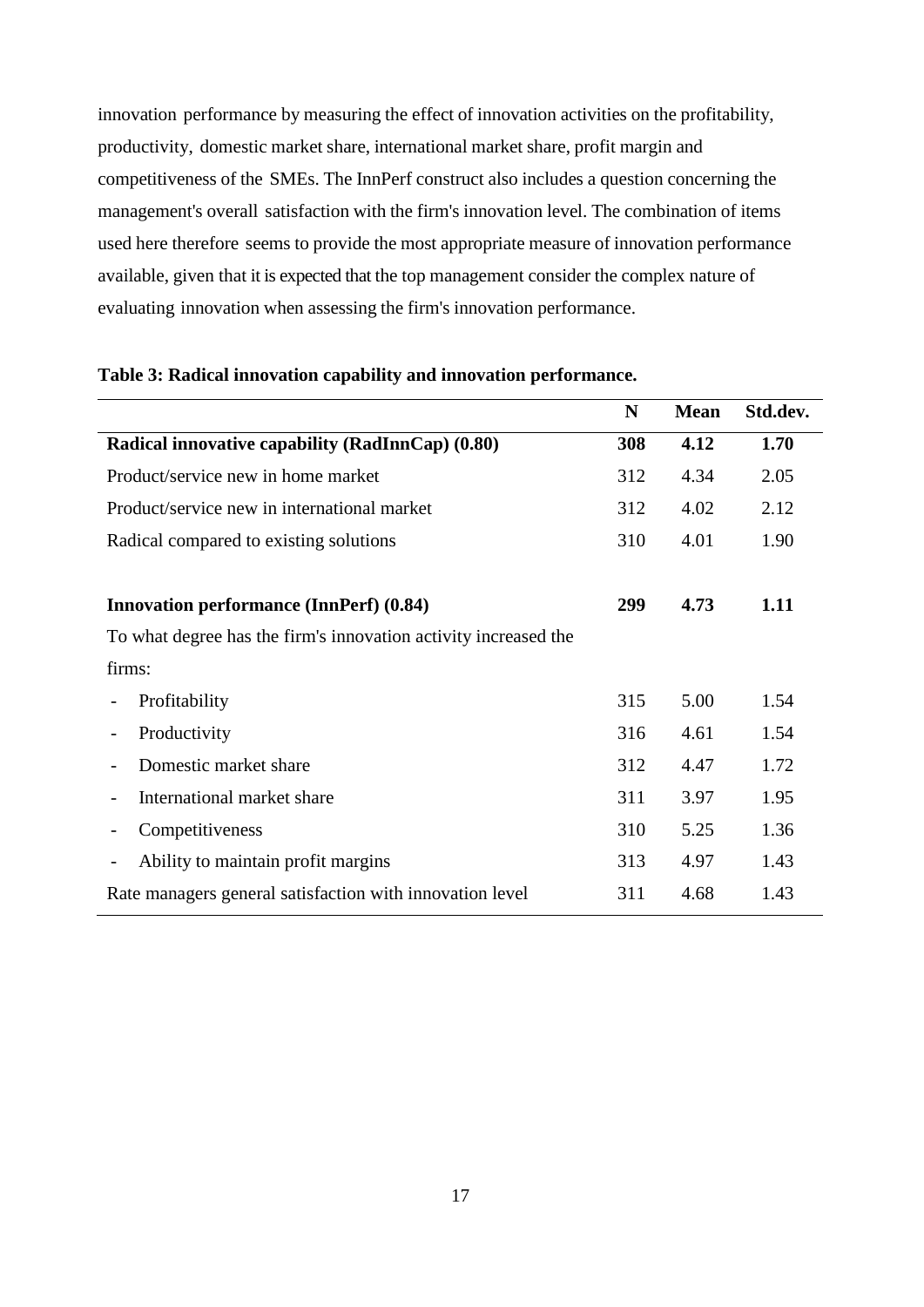innovation performance by measuring the effect of innovation activities on the profitability, productivity, domestic market share, international market share, profit margin and competitiveness of the SMEs. The InnPerf construct also includes a question concerning the management's overall satisfaction with the firm's innovation level. The combination of items used here therefore seems to provide the most appropriate measure of innovation performance available, given that it is expected that the top management consider the complex nature of evaluating innovation when assessing the firm's innovation performance.

|                                                                 | N   | <b>Mean</b> | Std.dev. |
|-----------------------------------------------------------------|-----|-------------|----------|
| Radical innovative capability (RadInnCap) (0.80)                | 308 | 4.12        | 1.70     |
| Product/service new in home market                              | 312 | 4.34        | 2.05     |
| Product/service new in international market                     | 312 | 4.02        | 2.12     |
| Radical compared to existing solutions                          | 310 | 4.01        | 1.90     |
|                                                                 |     |             |          |
| <b>Innovation performance (InnPerf) (0.84)</b>                  | 299 | 4.73        | 1.11     |
| To what degree has the firm's innovation activity increased the |     |             |          |
| firms:                                                          |     |             |          |
| Profitability                                                   | 315 | 5.00        | 1.54     |
| Productivity                                                    | 316 | 4.61        | 1.54     |
| Domestic market share                                           | 312 | 4.47        | 1.72     |
| International market share                                      | 311 | 3.97        | 1.95     |
| Competitiveness                                                 | 310 | 5.25        | 1.36     |
| Ability to maintain profit margins                              | 313 | 4.97        | 1.43     |
| Rate managers general satisfaction with innovation level        | 311 | 4.68        | 1.43     |

### **Table 3: Radical innovation capability and innovation performance.**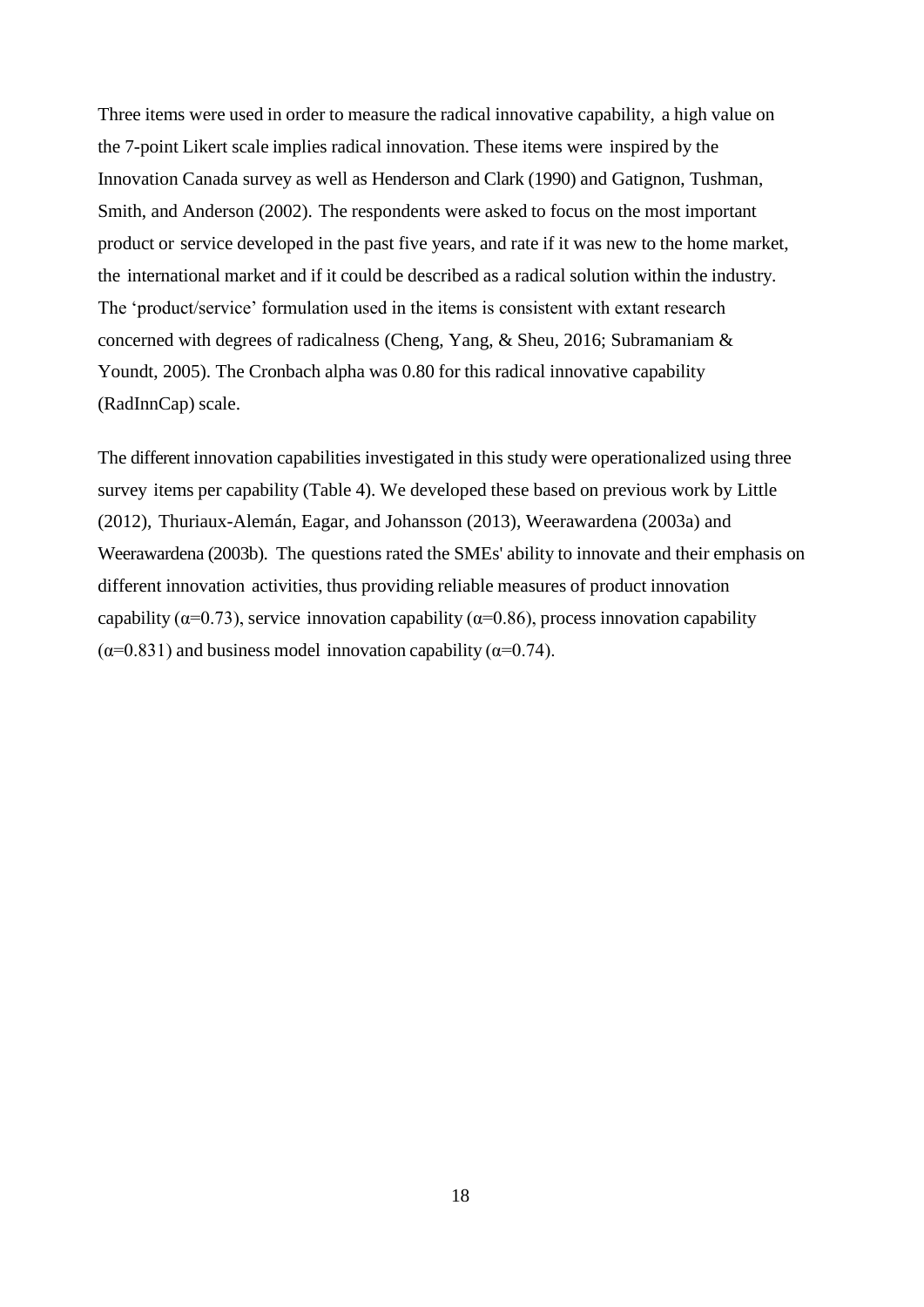Three items were used in order to measure the radical innovative capability, a high value on the 7-point Likert scale implies radical innovation. These items were inspired by the Innovation Canada survey as well as Henderson and Clark (1990) and Gatignon, Tushman, Smith, and Anderson (2002). The respondents were asked to focus on the most important product or service developed in the past five years, and rate if it was new to the home market, the international market and if it could be described as a radical solution within the industry. The 'product/service' formulation used in the items is consistent with extant research concerned with degrees of radicalness (Cheng, Yang, & Sheu, 2016; Subramaniam & Youndt, 2005). The Cronbach alpha was 0.80 for this radical innovative capability (RadInnCap) scale.

The different innovation capabilities investigated in this study were operationalized using three survey items per capability (Table 4). We developed these based on previous work by Little (2012), Thuriaux-Alemán, Eagar, and Johansson (2013), Weerawardena (2003a) and Weerawardena (2003b). The questions rated the SMEs' ability to innovate and their emphasis on different innovation activities, thus providing reliable measures of product innovation capability ( $\alpha$ =0.73), service innovation capability ( $\alpha$ =0.86), process innovation capability  $(\alpha=0.831)$  and business model innovation capability ( $\alpha=0.74$ ).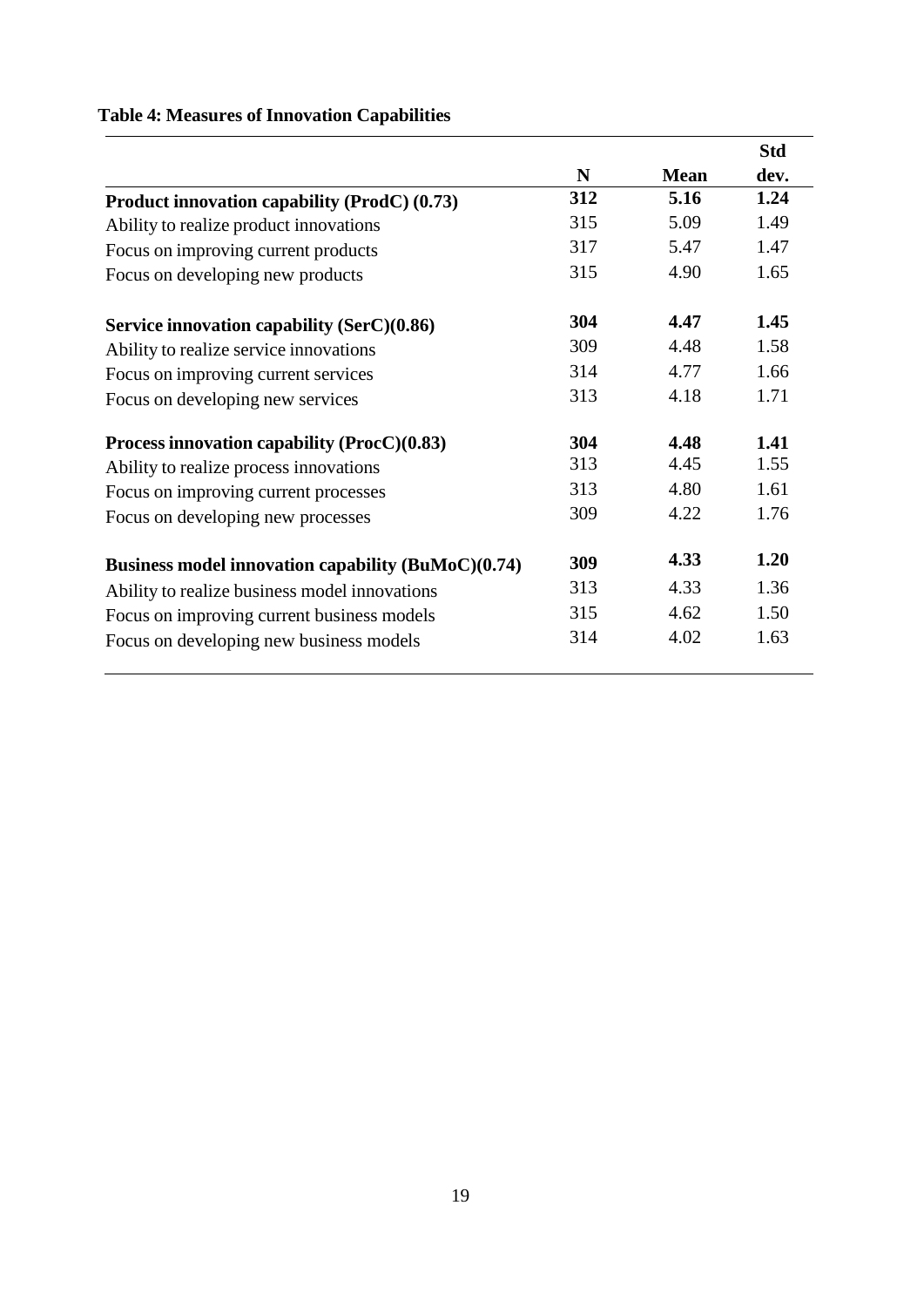# **Table 4: Measures of Innovation Capabilities**

|                                                    |     |             | <b>Std</b> |
|----------------------------------------------------|-----|-------------|------------|
|                                                    | N   | <b>Mean</b> | dev.       |
| Product innovation capability (ProdC) (0.73)       | 312 | 5.16        | 1.24       |
| Ability to realize product innovations             | 315 | 5.09        | 1.49       |
| Focus on improving current products                | 317 | 5.47        | 1.47       |
| Focus on developing new products                   | 315 | 4.90        | 1.65       |
| Service innovation capability (SerC)(0.86)         | 304 | 4.47        | 1.45       |
| Ability to realize service innovations             | 309 | 4.48        | 1.58       |
| Focus on improving current services                | 314 | 4.77        | 1.66       |
| Focus on developing new services                   | 313 | 4.18        | 1.71       |
| Process innovation capability (ProcC)(0.83)        | 304 | 4.48        | 1.41       |
| Ability to realize process innovations             | 313 | 4.45        | 1.55       |
| Focus on improving current processes               | 313 | 4.80        | 1.61       |
| Focus on developing new processes                  | 309 | 4.22        | 1.76       |
| Business model innovation capability (BuMoC)(0.74) | 309 | 4.33        | 1.20       |
| Ability to realize business model innovations      | 313 | 4.33        | 1.36       |
| Focus on improving current business models         | 315 | 4.62        | 1.50       |
| Focus on developing new business models            | 314 | 4.02        | 1.63       |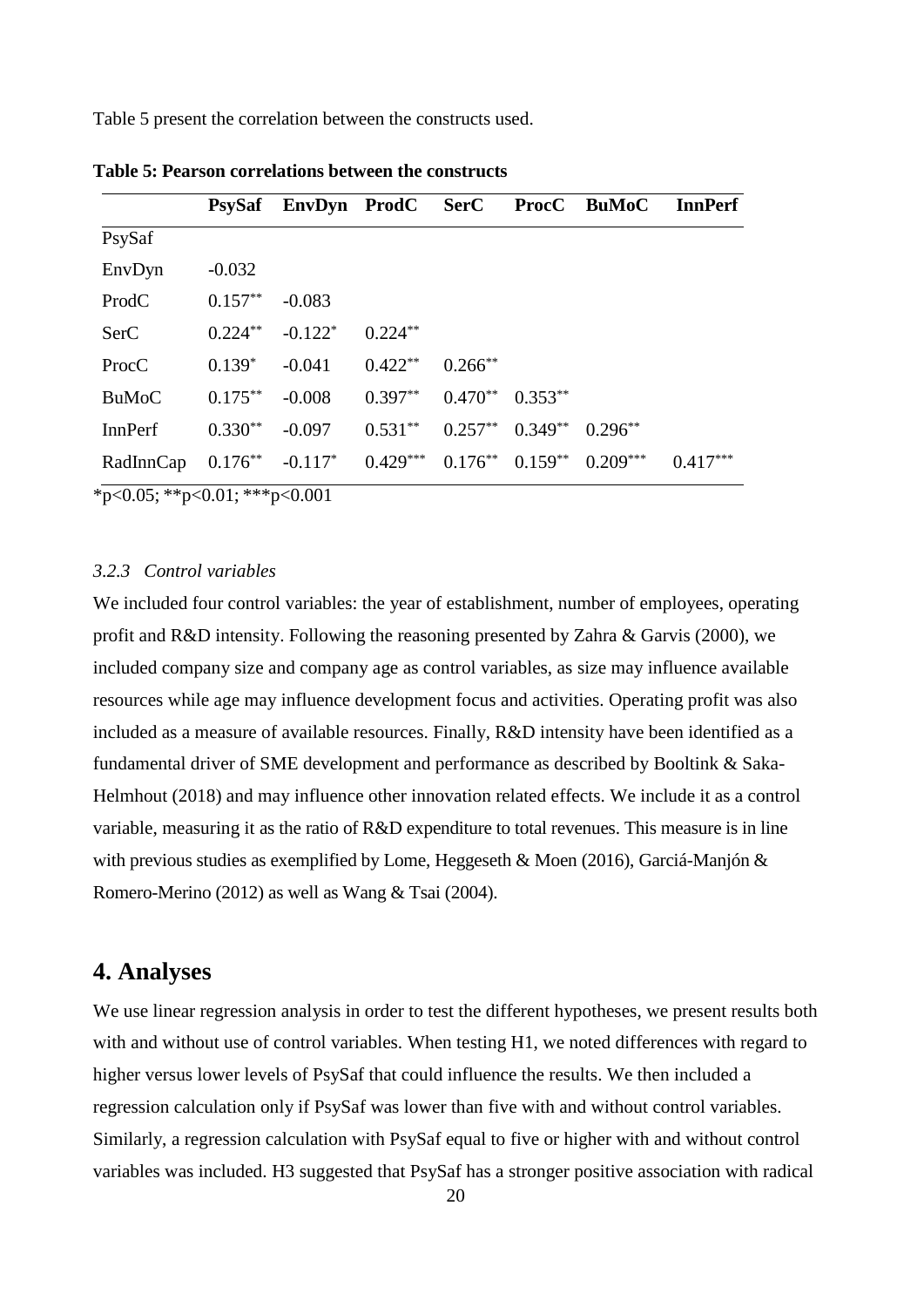Table 5 present the correlation between the constructs used.

|                |            |                                                                                 |            |                           |                           | PsySaf EnvDyn ProdC SerC ProcC BuMoC InnPerf |            |
|----------------|------------|---------------------------------------------------------------------------------|------------|---------------------------|---------------------------|----------------------------------------------|------------|
| PsySaf         |            |                                                                                 |            |                           |                           |                                              |            |
| EnvDyn         | $-0.032$   |                                                                                 |            |                           |                           |                                              |            |
| ProdC          | $0.157**$  | $-0.083$                                                                        |            |                           |                           |                                              |            |
| <b>SerC</b>    | $0.224***$ | $-0.122*$                                                                       | $0.224***$ |                           |                           |                                              |            |
| ProcC          | $0.139*$   | $-0.041$                                                                        | $0.422**$  | $0.266^{**}$              |                           |                                              |            |
| <b>BuMoC</b>   | $0.175***$ | $-0.008$                                                                        | $0.397**$  | $0.470^{**}$ $0.353^{**}$ |                           |                                              |            |
| <b>InnPerf</b> | $0.330**$  | $-0.097$                                                                        | $0.531**$  |                           | $0.257^{**}$ $0.349^{**}$ | $0.296**$                                    |            |
| RadInnCap      |            | $0.176^{**}$ $-0.117^{*}$ $0.429^{***}$ $0.176^{**}$ $0.159^{**}$ $0.209^{***}$ |            |                           |                           |                                              | $0.417***$ |

**Table 5: Pearson correlations between the constructs**

 $*_{p<0.05;}$  \*\*p<0.01; \*\*\*p<0.001

### *3.2.3 Control variables*

We included four control variables: the year of establishment, number of employees, operating profit and R&D intensity. Following the reasoning presented by Zahra & Garvis (2000), we included company size and company age as control variables, as size may influence available resources while age may influence development focus and activities. Operating profit was also included as a measure of available resources. Finally, R&D intensity have been identified as a fundamental driver of SME development and performance as described by Booltink & Saka-Helmhout (2018) and may influence other innovation related effects. We include it as a control variable, measuring it as the ratio of R&D expenditure to total revenues. This measure is in line with previous studies as exemplified by Lome, Heggeseth & Moen (2016), Garciá-Manjón & Romero-Merino (2012) as well as Wang & Tsai (2004).

### **4. Analyses**

We use linear regression analysis in order to test the different hypotheses, we present results both with and without use of control variables. When testing H1, we noted differences with regard to higher versus lower levels of PsySaf that could influence the results. We then included a regression calculation only if PsySaf was lower than five with and without control variables. Similarly, a regression calculation with PsySaf equal to five or higher with and without control variables was included. H3 suggested that PsySaf has a stronger positive association with radical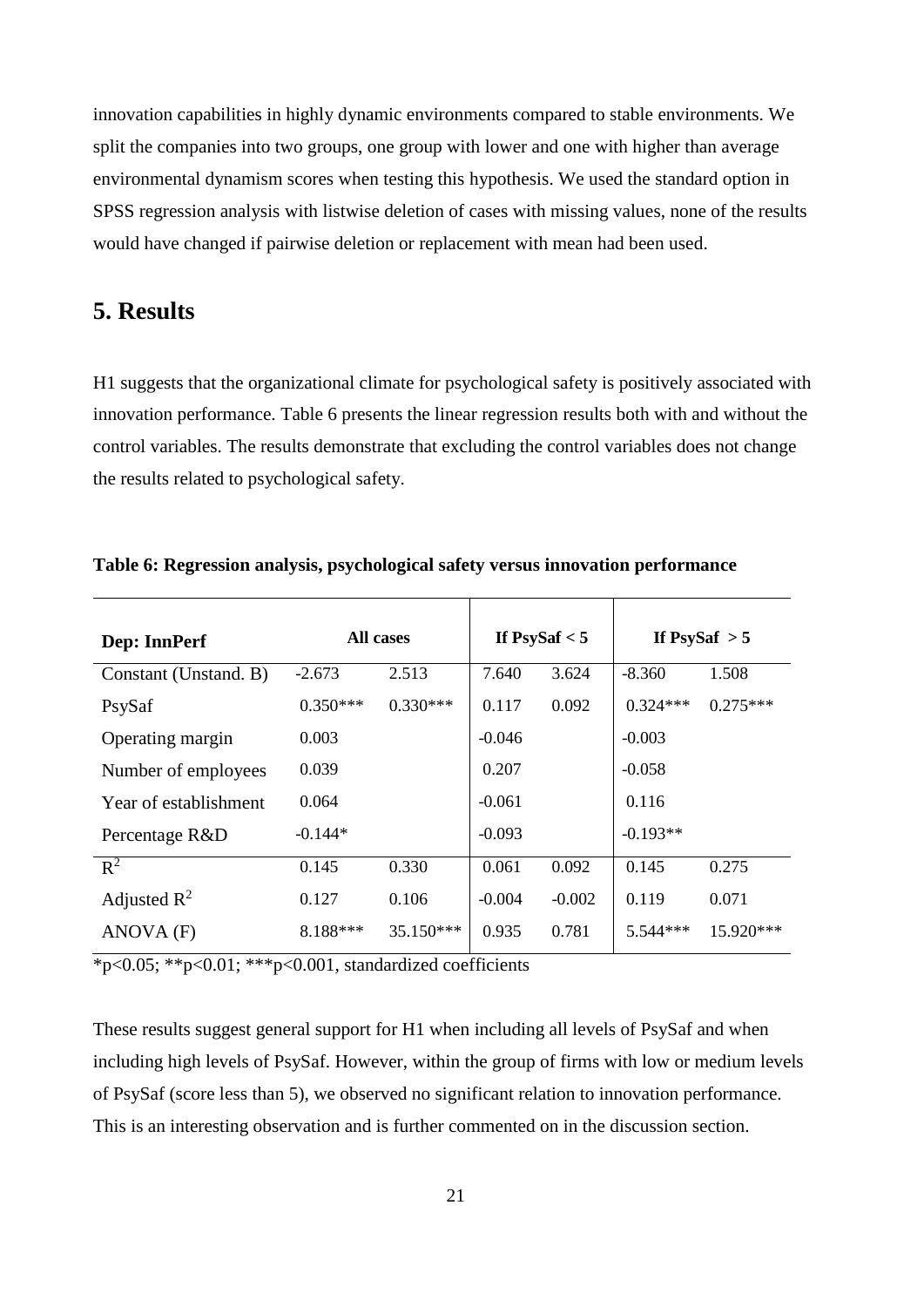innovation capabilities in highly dynamic environments compared to stable environments. We split the companies into two groups, one group with lower and one with higher than average environmental dynamism scores when testing this hypothesis. We used the standard option in SPSS regression analysis with listwise deletion of cases with missing values, none of the results would have changed if pairwise deletion or replacement with mean had been used.

### **5. Results**

H1 suggests that the organizational climate for psychological safety is positively associated with innovation performance. Table 6 presents the linear regression results both with and without the control variables. The results demonstrate that excluding the control variables does not change the results related to psychological safety.

| Dep: InnPerf            | All cases  |             | If $PsySaf < 5$ |          | If PsySaf $> 5$ |             |
|-------------------------|------------|-------------|-----------------|----------|-----------------|-------------|
| Constant (Unstand, B)   | $-2.673$   | 2.513       | 7.640           | 3.624    | $-8.360$        | 1.508       |
| PsySaf                  | $0.350***$ | $0.330***$  | 0.117           | 0.092    | $0.324***$      | $0.275***$  |
| Operating margin        | 0.003      |             | $-0.046$        |          | $-0.003$        |             |
| Number of employees     | 0.039      |             | 0.207           |          | $-0.058$        |             |
| Year of establishment   | 0.064      |             | $-0.061$        |          | 0.116           |             |
| Percentage R&D          | $-0.144*$  |             | $-0.093$        |          | $-0.193**$      |             |
| $\mathbb{R}^2$          | 0.145      | 0.330       | 0.061           | 0.092    | 0.145           | 0.275       |
| Adjusted $\mathbb{R}^2$ | 0.127      | 0.106       | $-0.004$        | $-0.002$ | 0.119           | 0.071       |
| ANOVA (F)               | 8.188***   | $35.150***$ | 0.935           | 0.781    | $5.544***$      | $15.920***$ |

**Table 6: Regression analysis, psychological safety versus innovation performance**

\*p<0.05; \*\*p<0.01; \*\*\*p<0.001, standardized coefficients

These results suggest general support for H1 when including all levels of PsySaf and when including high levels of PsySaf. However, within the group of firms with low or medium levels of PsySaf (score less than 5), we observed no significant relation to innovation performance. This is an interesting observation and is further commented on in the discussion section.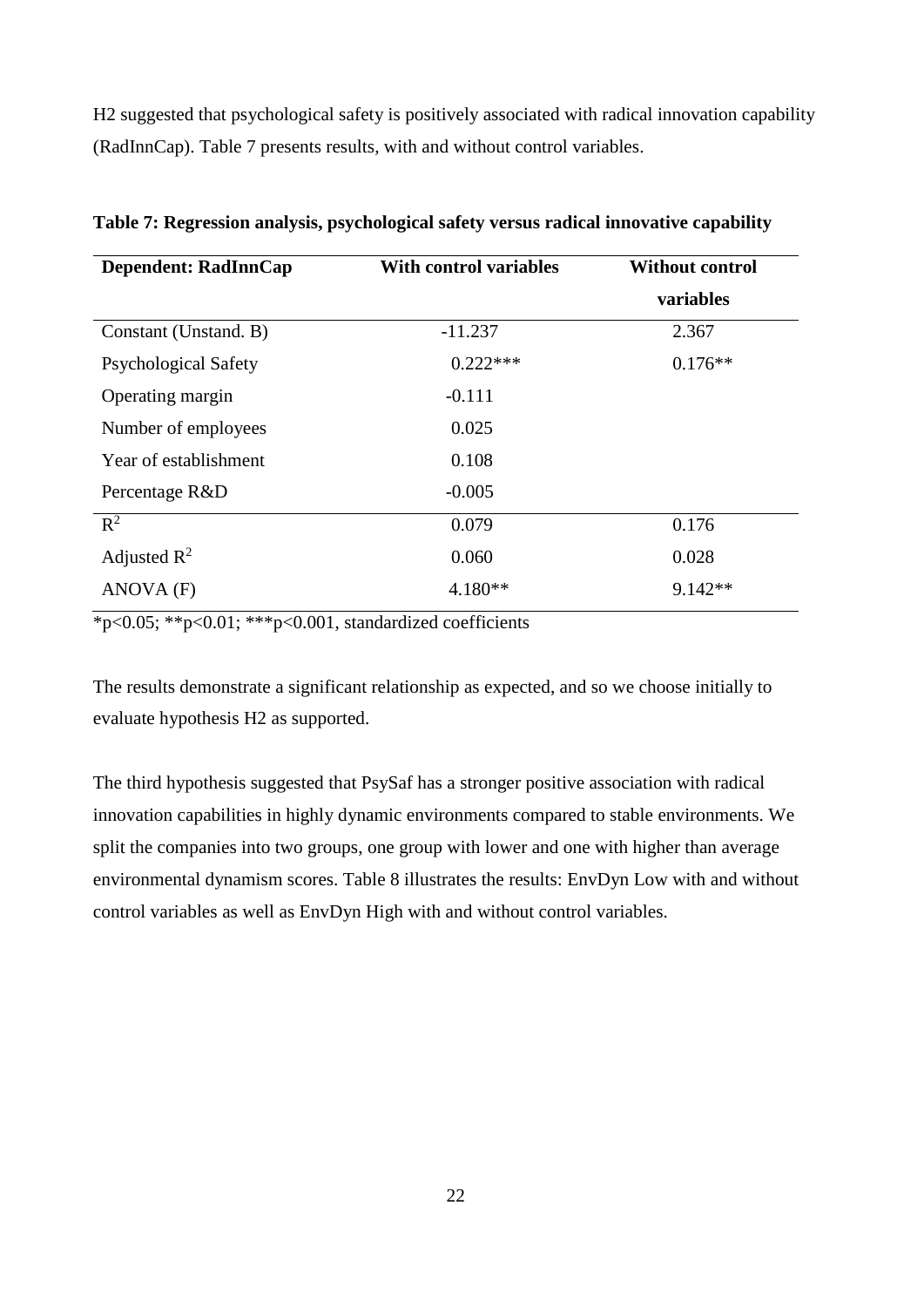H2 suggested that psychological safety is positively associated with radical innovation capability (RadInnCap). Table 7 presents results, with and without control variables.

| <b>Dependent: RadInnCap</b> | <b>With control variables</b> | <b>Without control</b> |
|-----------------------------|-------------------------------|------------------------|
|                             |                               | variables              |
| Constant (Unstand, B)       | $-11.237$                     | 2.367                  |
| <b>Psychological Safety</b> | $0.222***$                    | $0.176**$              |
| Operating margin            | $-0.111$                      |                        |
| Number of employees         | 0.025                         |                        |
| Year of establishment       | 0.108                         |                        |
| Percentage R&D              | $-0.005$                      |                        |
| $R^2$                       | 0.079                         | 0.176                  |
| Adjusted $R^2$              | 0.060                         | 0.028                  |
| ANOVA (F)                   | $4.180**$                     | $9.142**$              |

**Table 7: Regression analysis, psychological safety versus radical innovative capability** 

\*p<0.05; \*\*p<0.01; \*\*\*p<0.001, standardized coefficients

The results demonstrate a significant relationship as expected, and so we choose initially to evaluate hypothesis H2 as supported.

The third hypothesis suggested that PsySaf has a stronger positive association with radical innovation capabilities in highly dynamic environments compared to stable environments. We split the companies into two groups, one group with lower and one with higher than average environmental dynamism scores. Table 8 illustrates the results: EnvDyn Low with and without control variables as well as EnvDyn High with and without control variables.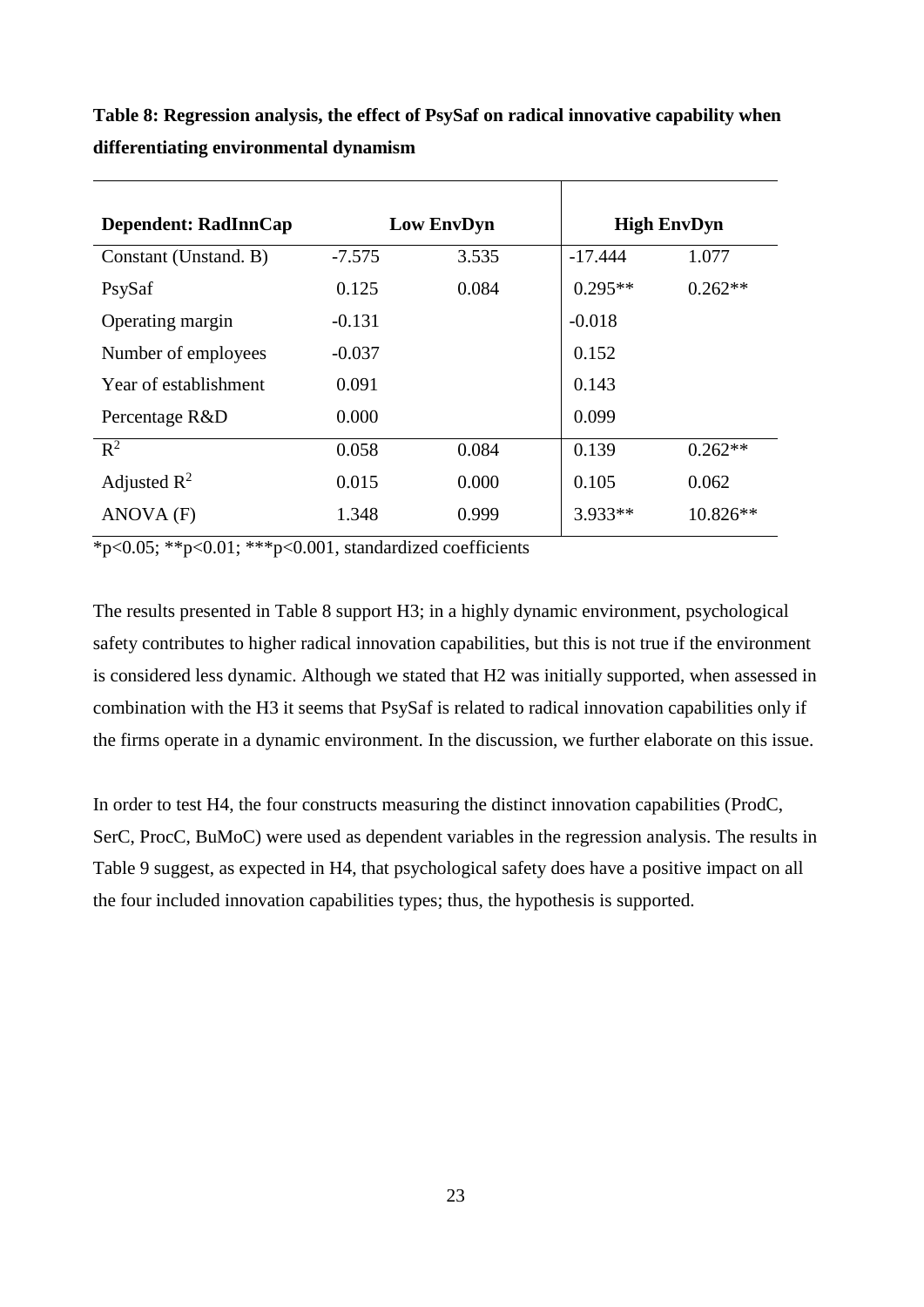**Table 8: Regression analysis, the effect of PsySaf on radical innovative capability when differentiating environmental dynamism**

| <b>Dependent: RadInnCap</b> |          | Low EnvDyn |           | <b>High EnvDyn</b> |
|-----------------------------|----------|------------|-----------|--------------------|
| Constant (Unstand, B)       | $-7.575$ | 3.535      | $-17.444$ | 1.077              |
| PsySaf                      | 0.125    | 0.084      | $0.295**$ | $0.262**$          |
| Operating margin            | $-0.131$ |            | $-0.018$  |                    |
| Number of employees         | $-0.037$ |            | 0.152     |                    |
| Year of establishment       | 0.091    |            | 0.143     |                    |
| Percentage R&D              | 0.000    |            | 0.099     |                    |
| $\mathbb{R}^2$              | 0.058    | 0.084      | 0.139     | $0.262**$          |
| Adjusted $R^2$              | 0.015    | 0.000      | 0.105     | 0.062              |
| $ANOVA$ (F)                 | 1.348    | 0.999      | $3.933**$ | $10.826**$         |

\*p<0.05; \*\*p<0.01; \*\*\*p<0.001, standardized coefficients

The results presented in Table 8 support H3; in a highly dynamic environment, psychological safety contributes to higher radical innovation capabilities, but this is not true if the environment is considered less dynamic. Although we stated that H2 was initially supported, when assessed in combination with the H3 it seems that PsySaf is related to radical innovation capabilities only if the firms operate in a dynamic environment. In the discussion, we further elaborate on this issue.

In order to test H4, the four constructs measuring the distinct innovation capabilities (ProdC, SerC, ProcC, BuMoC) were used as dependent variables in the regression analysis. The results in Table 9 suggest, as expected in H4, that psychological safety does have a positive impact on all the four included innovation capabilities types; thus, the hypothesis is supported.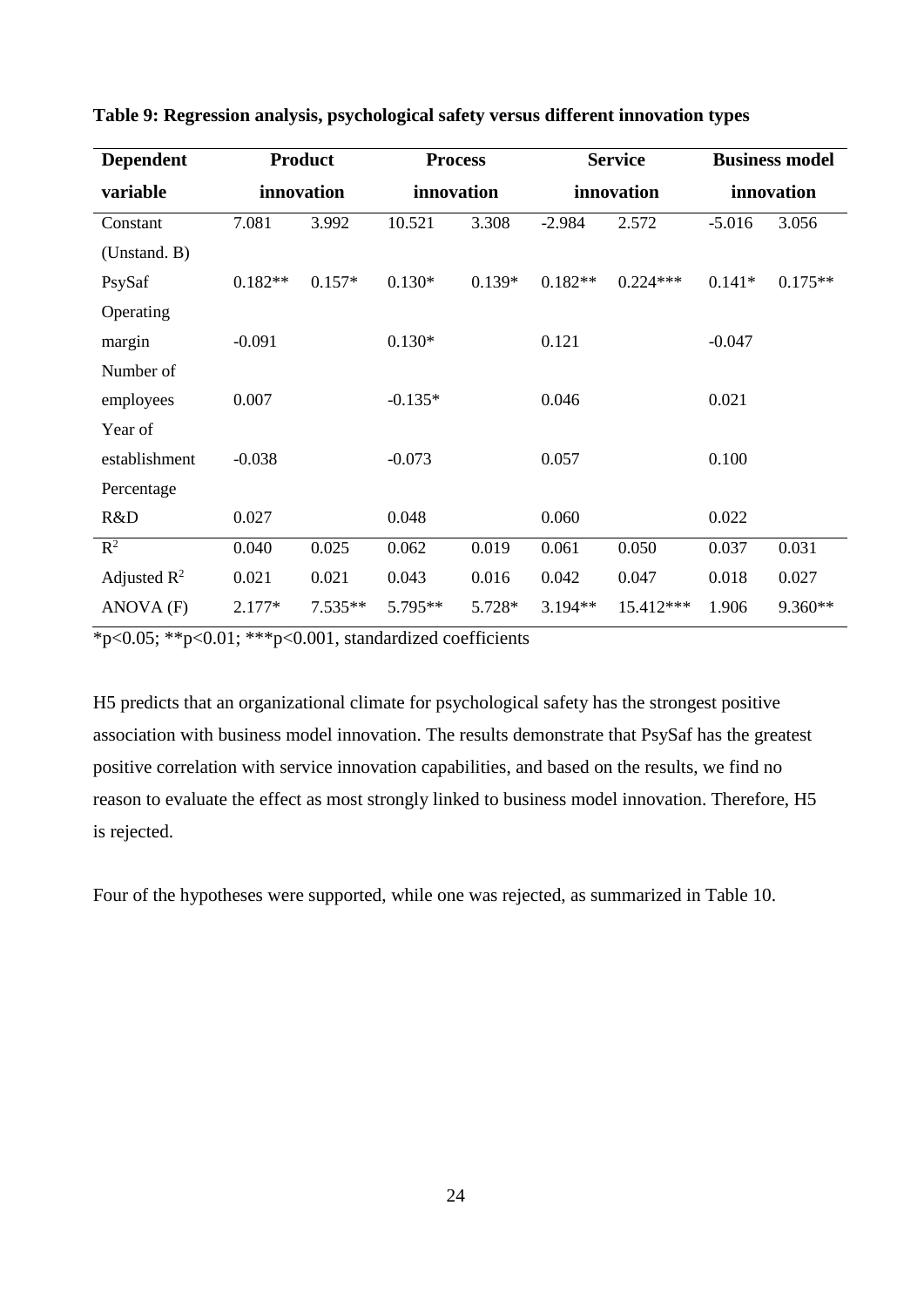| <b>Dependent</b> | <b>Product</b> |          |            | <b>Process</b> |            | <b>Service</b> |          | <b>Business model</b> |  |            |
|------------------|----------------|----------|------------|----------------|------------|----------------|----------|-----------------------|--|------------|
| variable         | innovation     |          | innovation |                | innovation |                |          |                       |  | innovation |
| Constant         | 7.081          | 3.992    | 10.521     | 3.308          | $-2.984$   | 2.572          | $-5.016$ | 3.056                 |  |            |
| (Unstand. B)     |                |          |            |                |            |                |          |                       |  |            |
| PsySaf           | $0.182**$      | $0.157*$ | $0.130*$   | $0.139*$       | $0.182**$  | $0.224***$     | $0.141*$ | $0.175**$             |  |            |
| Operating        |                |          |            |                |            |                |          |                       |  |            |
| margin           | $-0.091$       |          | $0.130*$   |                | 0.121      |                | $-0.047$ |                       |  |            |
| Number of        |                |          |            |                |            |                |          |                       |  |            |
| employees        | 0.007          |          | $-0.135*$  |                | 0.046      |                | 0.021    |                       |  |            |
| Year of          |                |          |            |                |            |                |          |                       |  |            |
| establishment    | $-0.038$       |          | $-0.073$   |                | 0.057      |                | 0.100    |                       |  |            |
| Percentage       |                |          |            |                |            |                |          |                       |  |            |
| R&D              | 0.027          |          | 0.048      |                | 0.060      |                | 0.022    |                       |  |            |
| $\mathbb{R}^2$   | 0.040          | 0.025    | 0.062      | 0.019          | 0.061      | 0.050          | 0.037    | 0.031                 |  |            |
| Adjusted $R^2$   | 0.021          | 0.021    | 0.043      | 0.016          | 0.042      | 0.047          | 0.018    | 0.027                 |  |            |
| ANOVA (F)        | 2.177*         | 7.535**  | 5.795**    | 5.728*         | $3.194**$  | 15.412***      | 1.906    | 9.360**               |  |            |

**Table 9: Regression analysis, psychological safety versus different innovation types**

 $*p<0.05$ ;  $*p<0.01$ ;  $**p<0.001$ , standardized coefficients

H5 predicts that an organizational climate for psychological safety has the strongest positive association with business model innovation. The results demonstrate that PsySaf has the greatest positive correlation with service innovation capabilities, and based on the results, we find no reason to evaluate the effect as most strongly linked to business model innovation. Therefore, H5 is rejected.

Four of the hypotheses were supported, while one was rejected, as summarized in Table 10.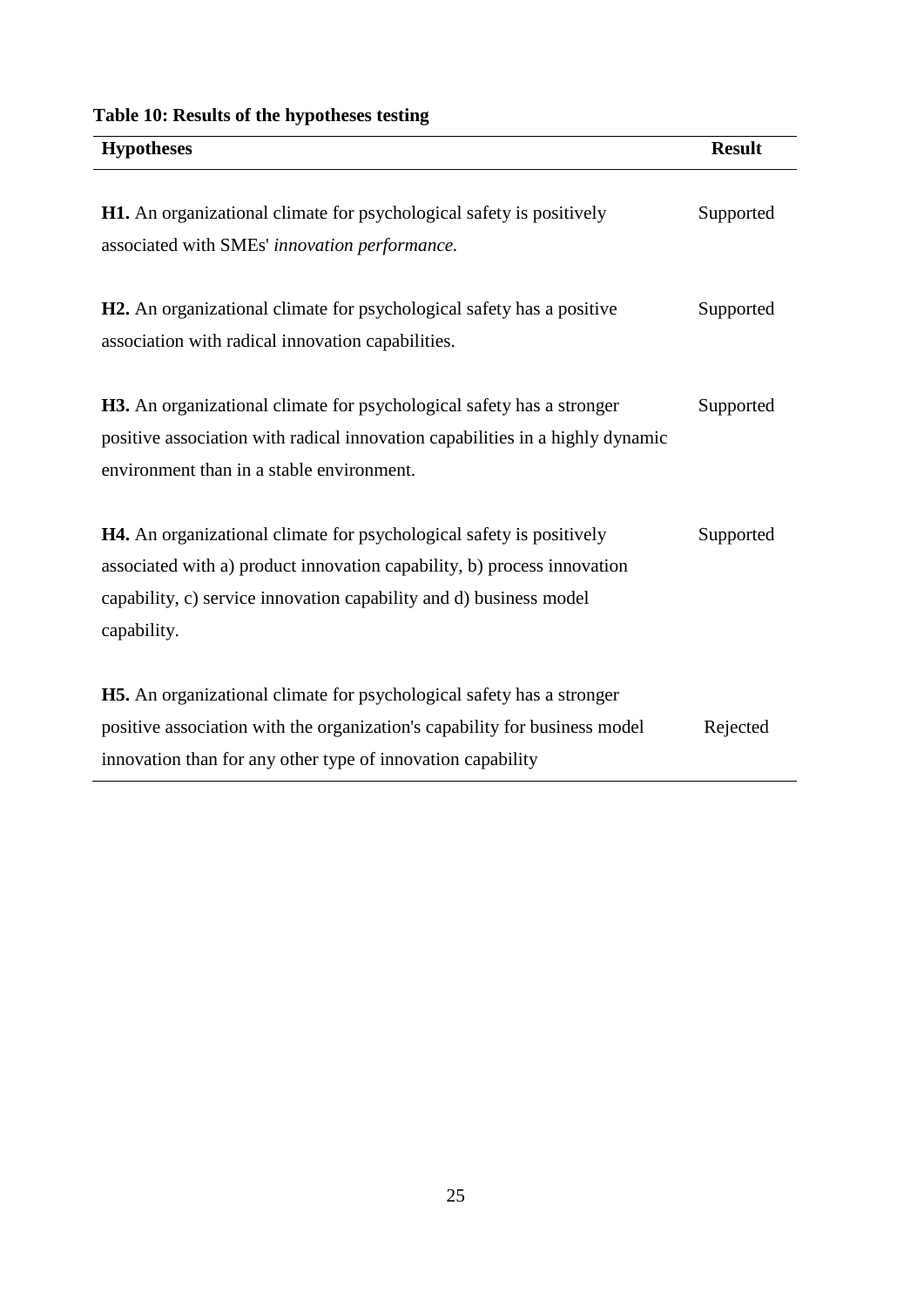| <b>Hypotheses</b>                                                                                                                                                                                                                    | <b>Result</b> |
|--------------------------------------------------------------------------------------------------------------------------------------------------------------------------------------------------------------------------------------|---------------|
| <b>H1.</b> An organizational climate for psychological safety is positively<br>associated with SMEs' innovation performance.                                                                                                         | Supported     |
| H2. An organizational climate for psychological safety has a positive<br>association with radical innovation capabilities.                                                                                                           | Supported     |
| H3. An organizational climate for psychological safety has a stronger<br>positive association with radical innovation capabilities in a highly dynamic<br>environment than in a stable environment.                                  | Supported     |
| H4. An organizational climate for psychological safety is positively<br>associated with a) product innovation capability, b) process innovation<br>capability, c) service innovation capability and d) business model<br>capability. | Supported     |
| H5. An organizational climate for psychological safety has a stronger<br>positive association with the organization's capability for business model<br>innovation than for any other type of innovation capability                   | Rejected      |

÷.

# **Table 10: Results of the hypotheses testing**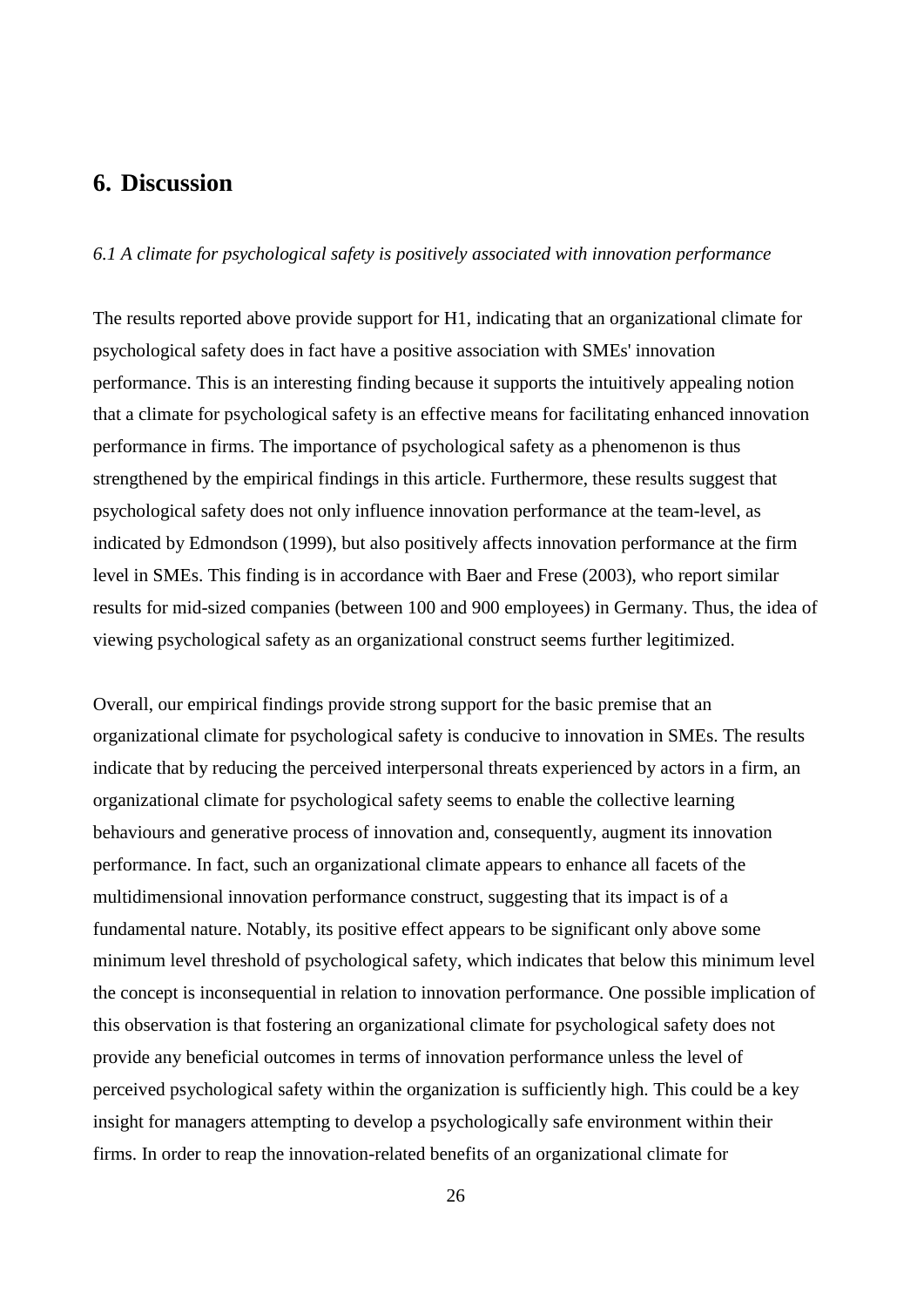### **6. Discussion**

#### *6.1 A climate for psychological safety is positively associated with innovation performance*

The results reported above provide support for H1, indicating that an organizational climate for psychological safety does in fact have a positive association with SMEs' innovation performance. This is an interesting finding because it supports the intuitively appealing notion that a climate for psychological safety is an effective means for facilitating enhanced innovation performance in firms. The importance of psychological safety as a phenomenon is thus strengthened by the empirical findings in this article. Furthermore, these results suggest that psychological safety does not only influence innovation performance at the team-level, as indicated by Edmondson (1999), but also positively affects innovation performance at the firm level in SMEs. This finding is in accordance with Baer and Frese (2003), who report similar results for mid-sized companies (between 100 and 900 employees) in Germany. Thus, the idea of viewing psychological safety as an organizational construct seems further legitimized.

Overall, our empirical findings provide strong support for the basic premise that an organizational climate for psychological safety is conducive to innovation in SMEs. The results indicate that by reducing the perceived interpersonal threats experienced by actors in a firm, an organizational climate for psychological safety seems to enable the collective learning behaviours and generative process of innovation and, consequently, augment its innovation performance. In fact, such an organizational climate appears to enhance all facets of the multidimensional innovation performance construct, suggesting that its impact is of a fundamental nature. Notably, its positive effect appears to be significant only above some minimum level threshold of psychological safety, which indicates that below this minimum level the concept is inconsequential in relation to innovation performance. One possible implication of this observation is that fostering an organizational climate for psychological safety does not provide any beneficial outcomes in terms of innovation performance unless the level of perceived psychological safety within the organization is sufficiently high. This could be a key insight for managers attempting to develop a psychologically safe environment within their firms. In order to reap the innovation-related benefits of an organizational climate for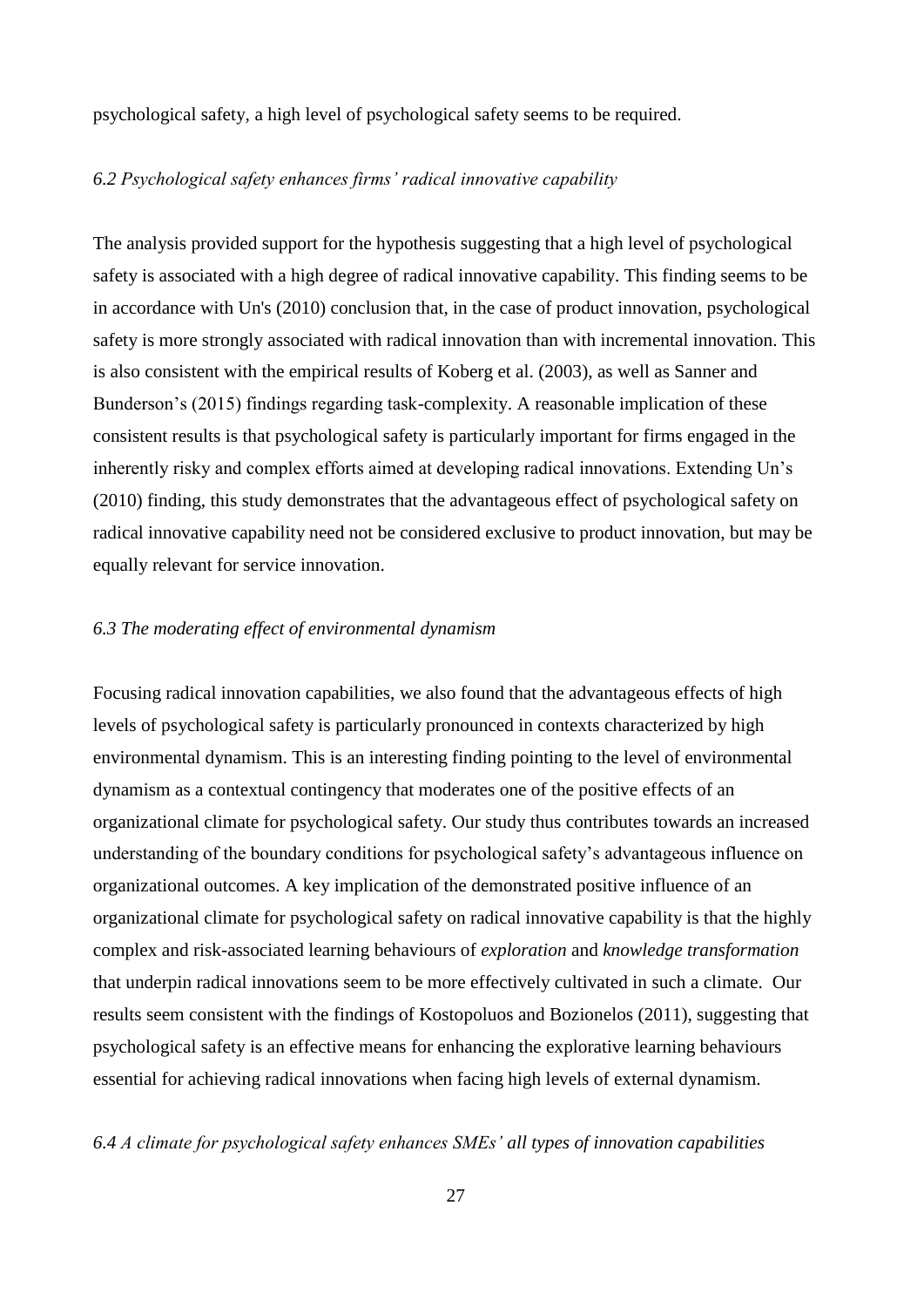psychological safety, a high level of psychological safety seems to be required.

### *6.2 Psychological safety enhances firms' radical innovative capability*

The analysis provided support for the hypothesis suggesting that a high level of psychological safety is associated with a high degree of radical innovative capability. This finding seems to be in accordance with Un's (2010) conclusion that, in the case of product innovation, psychological safety is more strongly associated with radical innovation than with incremental innovation. This is also consistent with the empirical results of Koberg et al. (2003), as well as Sanner and Bunderson's (2015) findings regarding task-complexity. A reasonable implication of these consistent results is that psychological safety is particularly important for firms engaged in the inherently risky and complex efforts aimed at developing radical innovations. Extending Un's (2010) finding, this study demonstrates that the advantageous effect of psychological safety on radical innovative capability need not be considered exclusive to product innovation, but may be equally relevant for service innovation.

### *6.3 The moderating effect of environmental dynamism*

Focusing radical innovation capabilities, we also found that the advantageous effects of high levels of psychological safety is particularly pronounced in contexts characterized by high environmental dynamism. This is an interesting finding pointing to the level of environmental dynamism as a contextual contingency that moderates one of the positive effects of an organizational climate for psychological safety. Our study thus contributes towards an increased understanding of the boundary conditions for psychological safety's advantageous influence on organizational outcomes. A key implication of the demonstrated positive influence of an organizational climate for psychological safety on radical innovative capability is that the highly complex and risk-associated learning behaviours of *exploration* and *knowledge transformation* that underpin radical innovations seem to be more effectively cultivated in such a climate. Our results seem consistent with the findings of Kostopoluos and Bozionelos (2011), suggesting that psychological safety is an effective means for enhancing the explorative learning behaviours essential for achieving radical innovations when facing high levels of external dynamism.

### *6.4 A climate for psychological safety enhances SMEs' all types of innovation capabilities*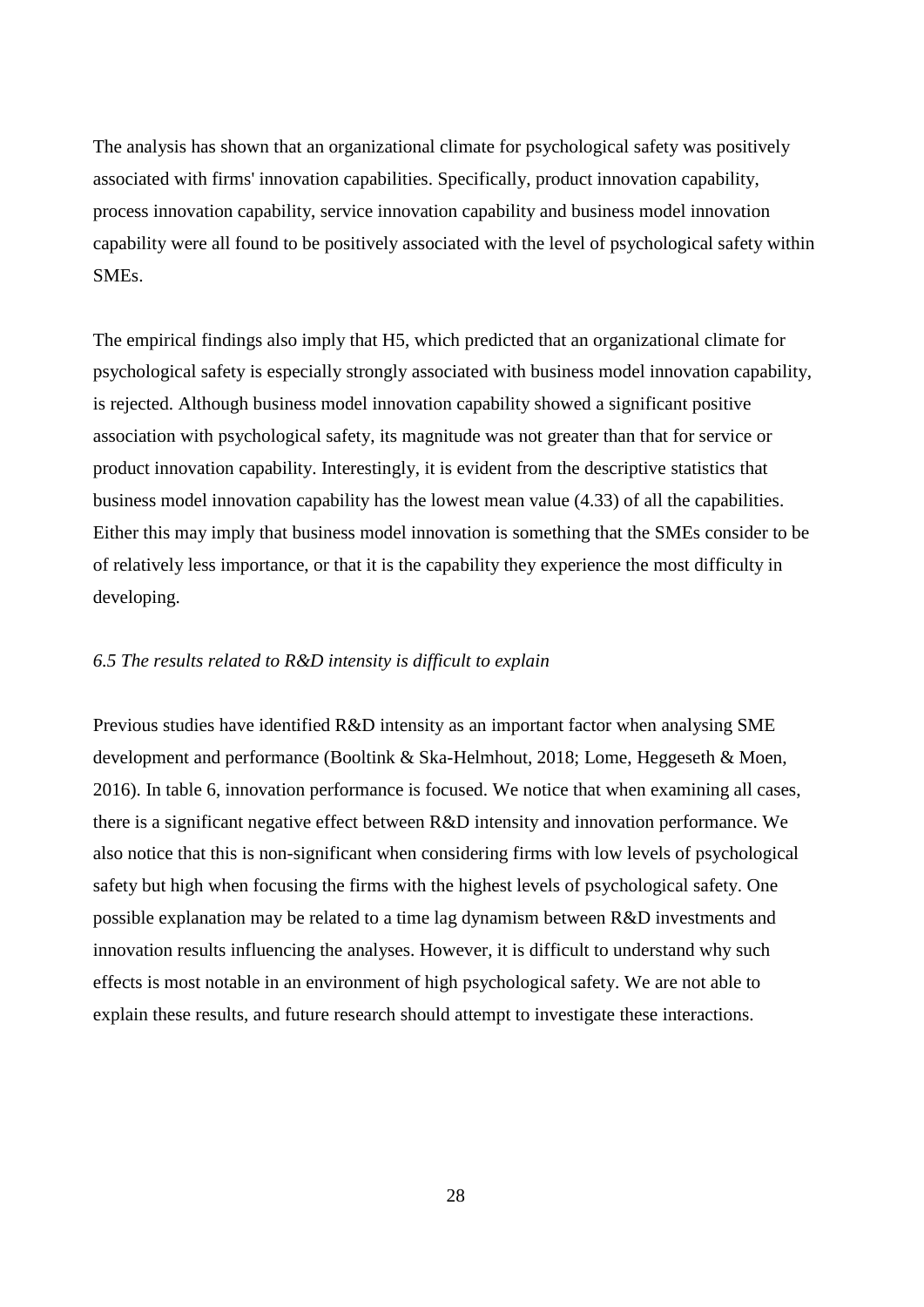The analysis has shown that an organizational climate for psychological safety was positively associated with firms' innovation capabilities. Specifically, product innovation capability, process innovation capability, service innovation capability and business model innovation capability were all found to be positively associated with the level of psychological safety within SMEs.

The empirical findings also imply that H5, which predicted that an organizational climate for psychological safety is especially strongly associated with business model innovation capability, is rejected. Although business model innovation capability showed a significant positive association with psychological safety, its magnitude was not greater than that for service or product innovation capability. Interestingly, it is evident from the descriptive statistics that business model innovation capability has the lowest mean value (4.33) of all the capabilities. Either this may imply that business model innovation is something that the SMEs consider to be of relatively less importance, or that it is the capability they experience the most difficulty in developing.

### *6.5 The results related to R&D intensity is difficult to explain*

Previous studies have identified R&D intensity as an important factor when analysing SME development and performance (Booltink & Ska-Helmhout, 2018; Lome, Heggeseth & Moen, 2016). In table 6, innovation performance is focused. We notice that when examining all cases, there is a significant negative effect between R&D intensity and innovation performance. We also notice that this is non-significant when considering firms with low levels of psychological safety but high when focusing the firms with the highest levels of psychological safety. One possible explanation may be related to a time lag dynamism between R&D investments and innovation results influencing the analyses. However, it is difficult to understand why such effects is most notable in an environment of high psychological safety. We are not able to explain these results, and future research should attempt to investigate these interactions.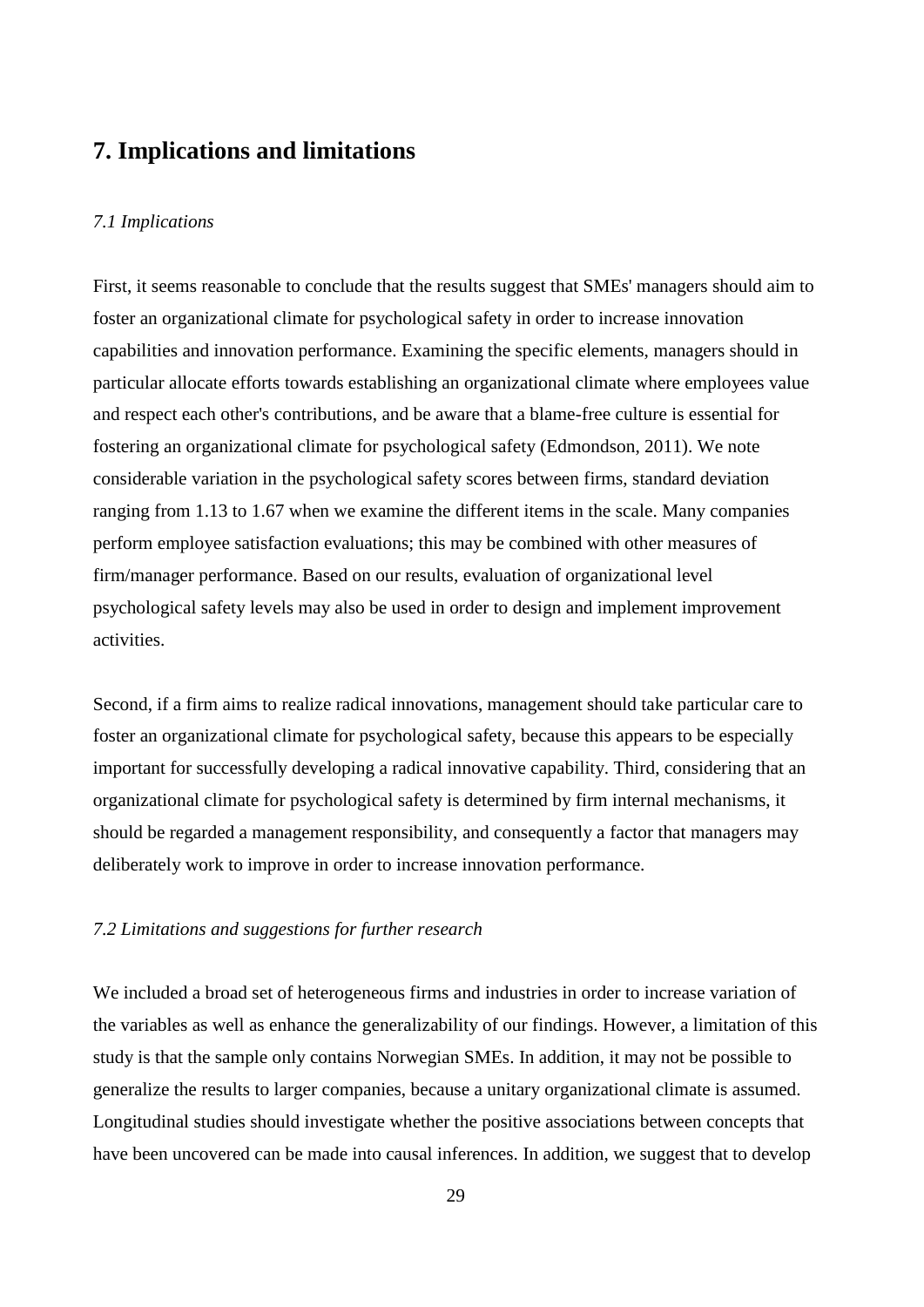## **7. Implications and limitations**

#### *7.1 Implications*

First, it seems reasonable to conclude that the results suggest that SMEs' managers should aim to foster an organizational climate for psychological safety in order to increase innovation capabilities and innovation performance. Examining the specific elements, managers should in particular allocate efforts towards establishing an organizational climate where employees value and respect each other's contributions, and be aware that a blame-free culture is essential for fostering an organizational climate for psychological safety (Edmondson, 2011). We note considerable variation in the psychological safety scores between firms, standard deviation ranging from 1.13 to 1.67 when we examine the different items in the scale. Many companies perform employee satisfaction evaluations; this may be combined with other measures of firm/manager performance. Based on our results, evaluation of organizational level psychological safety levels may also be used in order to design and implement improvement activities.

Second, if a firm aims to realize radical innovations, management should take particular care to foster an organizational climate for psychological safety, because this appears to be especially important for successfully developing a radical innovative capability. Third, considering that an organizational climate for psychological safety is determined by firm internal mechanisms, it should be regarded a management responsibility, and consequently a factor that managers may deliberately work to improve in order to increase innovation performance.

### *7.2 Limitations and suggestions for further research*

We included a broad set of heterogeneous firms and industries in order to increase variation of the variables as well as enhance the generalizability of our findings. However, a limitation of this study is that the sample only contains Norwegian SMEs. In addition, it may not be possible to generalize the results to larger companies, because a unitary organizational climate is assumed. Longitudinal studies should investigate whether the positive associations between concepts that have been uncovered can be made into causal inferences. In addition, we suggest that to develop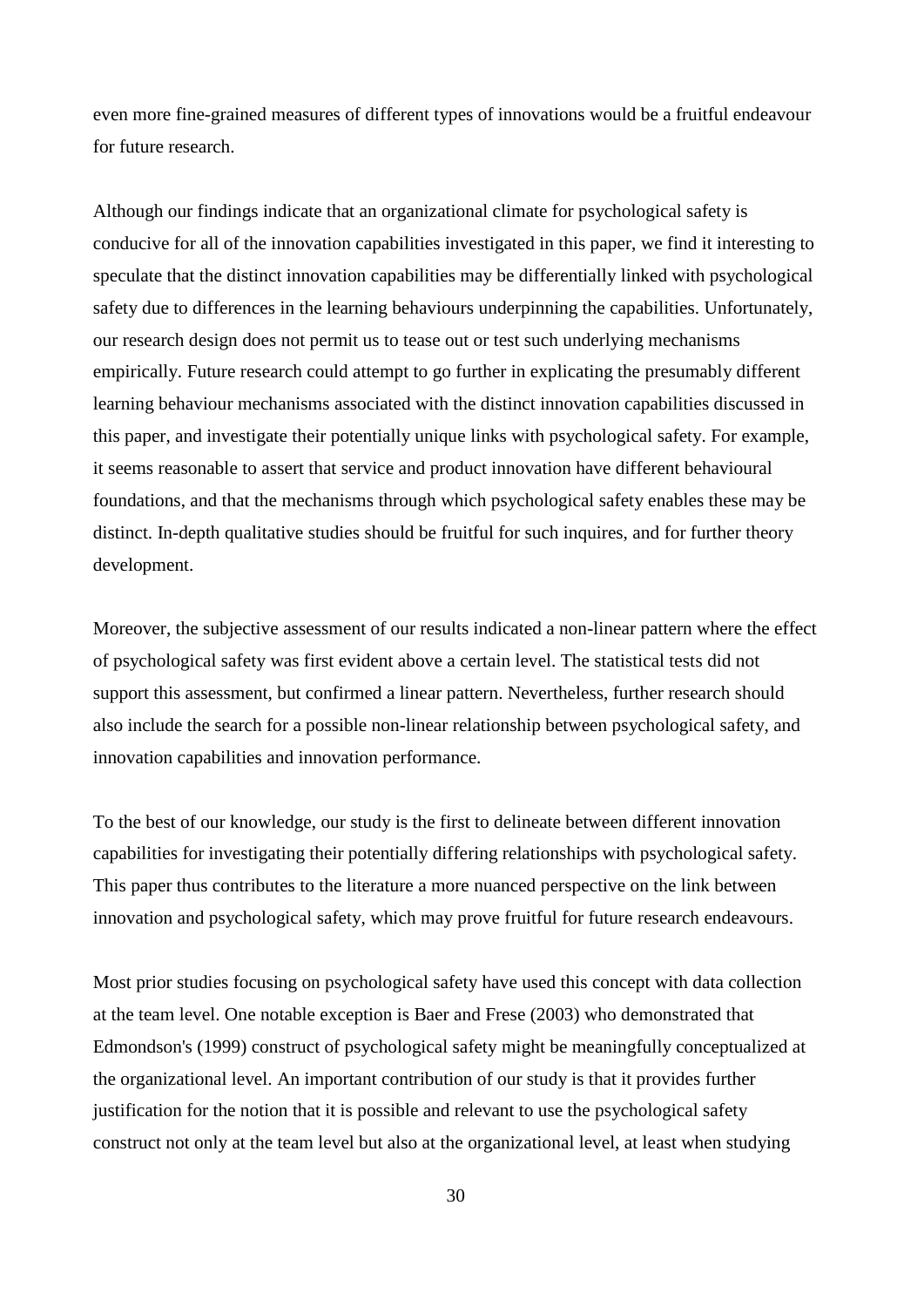even more fine-grained measures of different types of innovations would be a fruitful endeavour for future research.

Although our findings indicate that an organizational climate for psychological safety is conducive for all of the innovation capabilities investigated in this paper, we find it interesting to speculate that the distinct innovation capabilities may be differentially linked with psychological safety due to differences in the learning behaviours underpinning the capabilities. Unfortunately, our research design does not permit us to tease out or test such underlying mechanisms empirically. Future research could attempt to go further in explicating the presumably different learning behaviour mechanisms associated with the distinct innovation capabilities discussed in this paper, and investigate their potentially unique links with psychological safety. For example, it seems reasonable to assert that service and product innovation have different behavioural foundations, and that the mechanisms through which psychological safety enables these may be distinct. In-depth qualitative studies should be fruitful for such inquires, and for further theory development.

Moreover, the subjective assessment of our results indicated a non-linear pattern where the effect of psychological safety was first evident above a certain level. The statistical tests did not support this assessment, but confirmed a linear pattern. Nevertheless, further research should also include the search for a possible non-linear relationship between psychological safety, and innovation capabilities and innovation performance.

To the best of our knowledge, our study is the first to delineate between different innovation capabilities for investigating their potentially differing relationships with psychological safety. This paper thus contributes to the literature a more nuanced perspective on the link between innovation and psychological safety, which may prove fruitful for future research endeavours.

Most prior studies focusing on psychological safety have used this concept with data collection at the team level. One notable exception is Baer and Frese (2003) who demonstrated that Edmondson's (1999) construct of psychological safety might be meaningfully conceptualized at the organizational level. An important contribution of our study is that it provides further justification for the notion that it is possible and relevant to use the psychological safety construct not only at the team level but also at the organizational level, at least when studying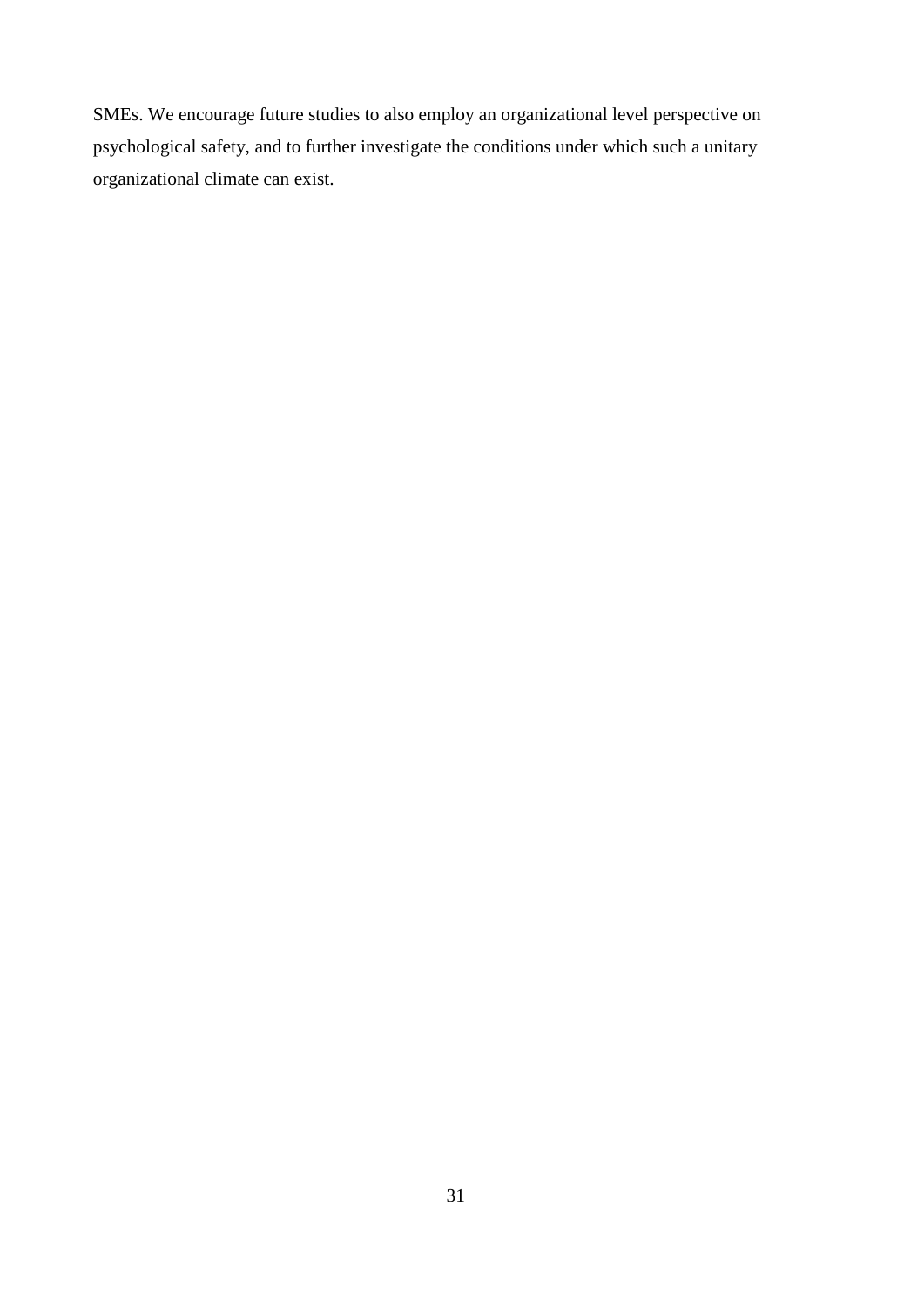SMEs. We encourage future studies to also employ an organizational level perspective on psychological safety, and to further investigate the conditions under which such a unitary organizational climate can exist.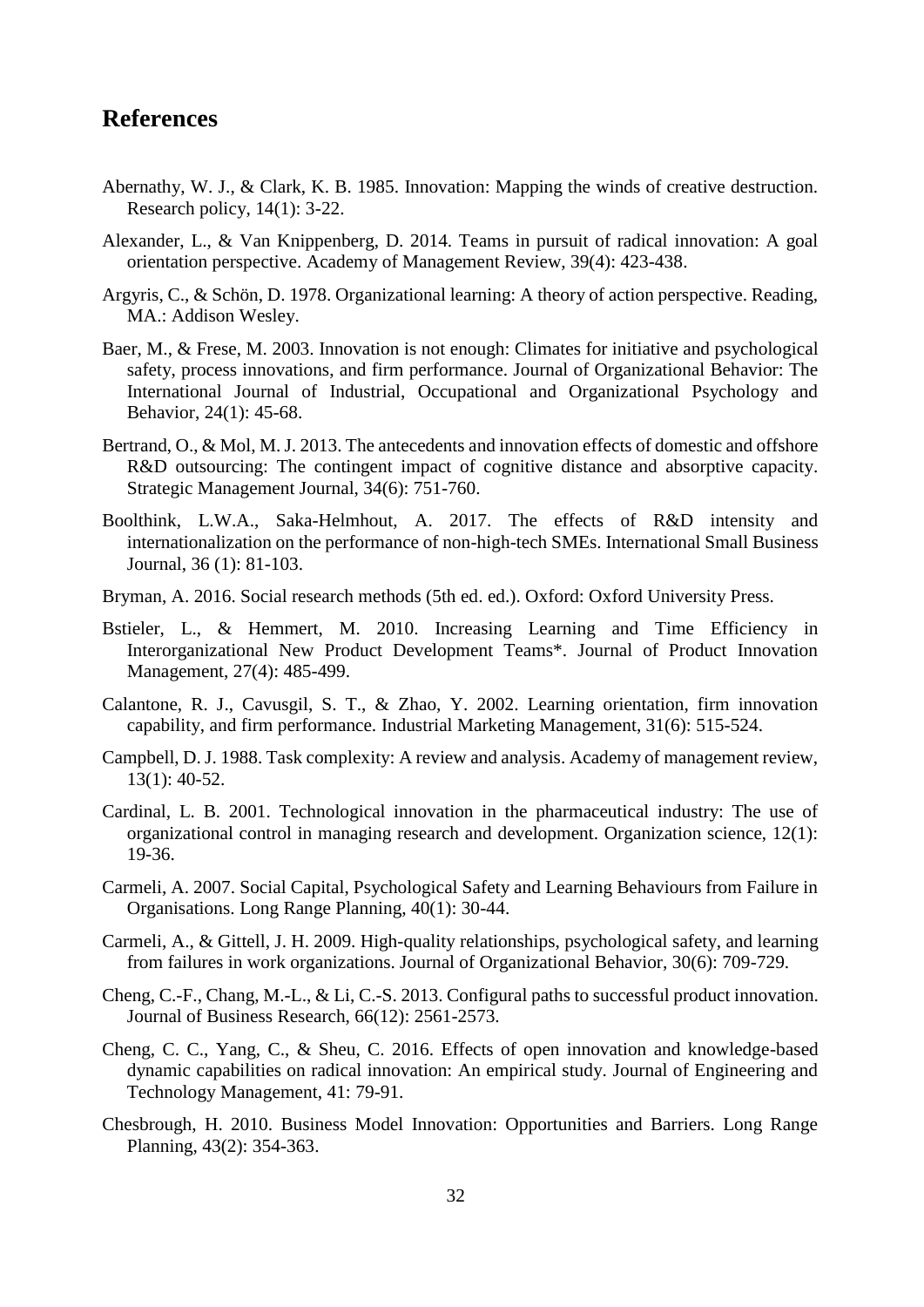### **References**

- Abernathy, W. J., & Clark, K. B. 1985. Innovation: Mapping the winds of creative destruction. Research policy, 14(1): 3-22.
- Alexander, L., & Van Knippenberg, D. 2014. Teams in pursuit of radical innovation: A goal orientation perspective. Academy of Management Review, 39(4): 423-438.
- Argyris, C., & Schön, D. 1978. Organizational learning: A theory of action perspective. Reading, MA.: Addison Wesley.
- Baer, M., & Frese, M. 2003. Innovation is not enough: Climates for initiative and psychological safety, process innovations, and firm performance. Journal of Organizational Behavior: The International Journal of Industrial, Occupational and Organizational Psychology and Behavior, 24(1): 45-68.
- Bertrand, O., & Mol, M. J. 2013. The antecedents and innovation effects of domestic and offshore R&D outsourcing: The contingent impact of cognitive distance and absorptive capacity. Strategic Management Journal, 34(6): 751-760.
- Boolthink, L.W.A., Saka-Helmhout, A. 2017. The effects of R&D intensity and internationalization on the performance of non-high-tech SMEs. International Small Business Journal, 36 (1): 81-103.
- Bryman, A. 2016. Social research methods (5th ed. ed.). Oxford: Oxford University Press.
- Bstieler, L., & Hemmert, M. 2010. Increasing Learning and Time Efficiency in Interorganizational New Product Development Teams\*. Journal of Product Innovation Management, 27(4): 485-499.
- Calantone, R. J., Cavusgil, S. T., & Zhao, Y. 2002. Learning orientation, firm innovation capability, and firm performance. Industrial Marketing Management, 31(6): 515-524.
- Campbell, D. J. 1988. Task complexity: A review and analysis. Academy of management review, 13(1): 40-52.
- Cardinal, L. B. 2001. Technological innovation in the pharmaceutical industry: The use of organizational control in managing research and development. Organization science, 12(1): 19-36.
- Carmeli, A. 2007. Social Capital, Psychological Safety and Learning Behaviours from Failure in Organisations. Long Range Planning, 40(1): 30-44.
- Carmeli, A., & Gittell, J. H. 2009. High-quality relationships, psychological safety, and learning from failures in work organizations. Journal of Organizational Behavior, 30(6): 709-729.
- Cheng, C.-F., Chang, M.-L., & Li, C.-S. 2013. Configural paths to successful product innovation. Journal of Business Research, 66(12): 2561-2573.
- Cheng, C. C., Yang, C., & Sheu, C. 2016. Effects of open innovation and knowledge-based dynamic capabilities on radical innovation: An empirical study. Journal of Engineering and Technology Management, 41: 79-91.
- Chesbrough, H. 2010. Business Model Innovation: Opportunities and Barriers. Long Range Planning, 43(2): 354-363.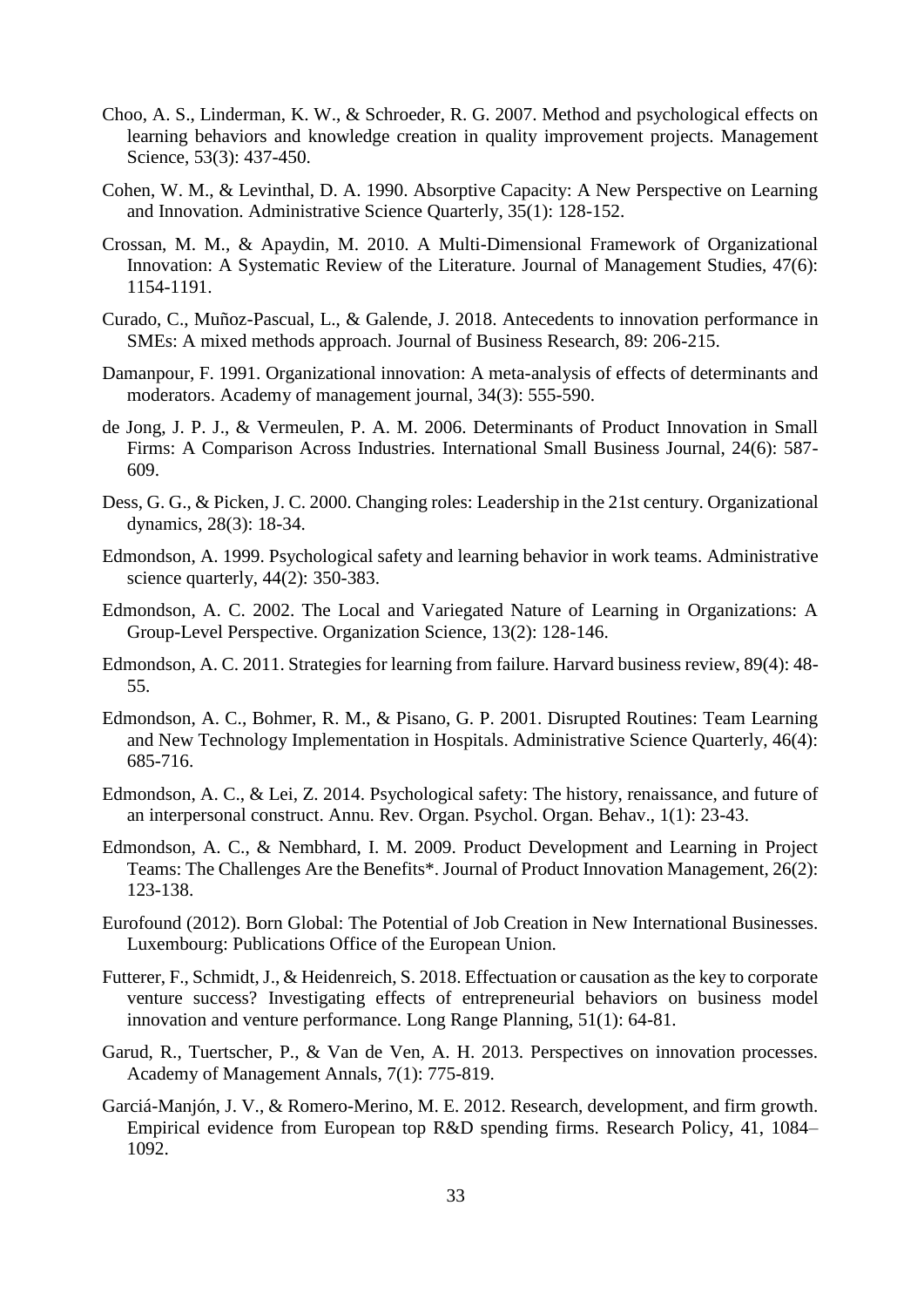- Choo, A. S., Linderman, K. W., & Schroeder, R. G. 2007. Method and psychological effects on learning behaviors and knowledge creation in quality improvement projects. Management Science, 53(3): 437-450.
- Cohen, W. M., & Levinthal, D. A. 1990. Absorptive Capacity: A New Perspective on Learning and Innovation. Administrative Science Quarterly, 35(1): 128-152.
- Crossan, M. M., & Apaydin, M. 2010. A Multi-Dimensional Framework of Organizational Innovation: A Systematic Review of the Literature. Journal of Management Studies, 47(6): 1154-1191.
- Curado, C., Muñoz-Pascual, L., & Galende, J. 2018. Antecedents to innovation performance in SMEs: A mixed methods approach. Journal of Business Research, 89: 206-215.
- Damanpour, F. 1991. Organizational innovation: A meta-analysis of effects of determinants and moderators. Academy of management journal, 34(3): 555-590.
- de Jong, J. P. J., & Vermeulen, P. A. M. 2006. Determinants of Product Innovation in Small Firms: A Comparison Across Industries. International Small Business Journal, 24(6): 587- 609.
- Dess, G. G., & Picken, J. C. 2000. Changing roles: Leadership in the 21st century. Organizational dynamics, 28(3): 18-34.
- Edmondson, A. 1999. Psychological safety and learning behavior in work teams. Administrative science quarterly, 44(2): 350-383.
- Edmondson, A. C. 2002. The Local and Variegated Nature of Learning in Organizations: A Group-Level Perspective. Organization Science, 13(2): 128-146.
- Edmondson, A. C. 2011. Strategies for learning from failure. Harvard business review, 89(4): 48- 55.
- Edmondson, A. C., Bohmer, R. M., & Pisano, G. P. 2001. Disrupted Routines: Team Learning and New Technology Implementation in Hospitals. Administrative Science Quarterly, 46(4): 685-716.
- Edmondson, A. C., & Lei, Z. 2014. Psychological safety: The history, renaissance, and future of an interpersonal construct. Annu. Rev. Organ. Psychol. Organ. Behav., 1(1): 23-43.
- Edmondson, A. C., & Nembhard, I. M. 2009. Product Development and Learning in Project Teams: The Challenges Are the Benefits\*. Journal of Product Innovation Management, 26(2): 123-138.
- Eurofound (2012). Born Global: The Potential of Job Creation in New International Businesses. Luxembourg: Publications Office of the European Union.
- Futterer, F., Schmidt, J., & Heidenreich, S. 2018. Effectuation or causation as the key to corporate venture success? Investigating effects of entrepreneurial behaviors on business model innovation and venture performance. Long Range Planning, 51(1): 64-81.
- Garud, R., Tuertscher, P., & Van de Ven, A. H. 2013. Perspectives on innovation processes. Academy of Management Annals, 7(1): 775-819.
- Garciá-Manjón, J. V., & Romero-Merino, M. E. 2012. Research, development, and firm growth. Empirical evidence from European top R&D spending firms. Research Policy, 41, 1084– 1092.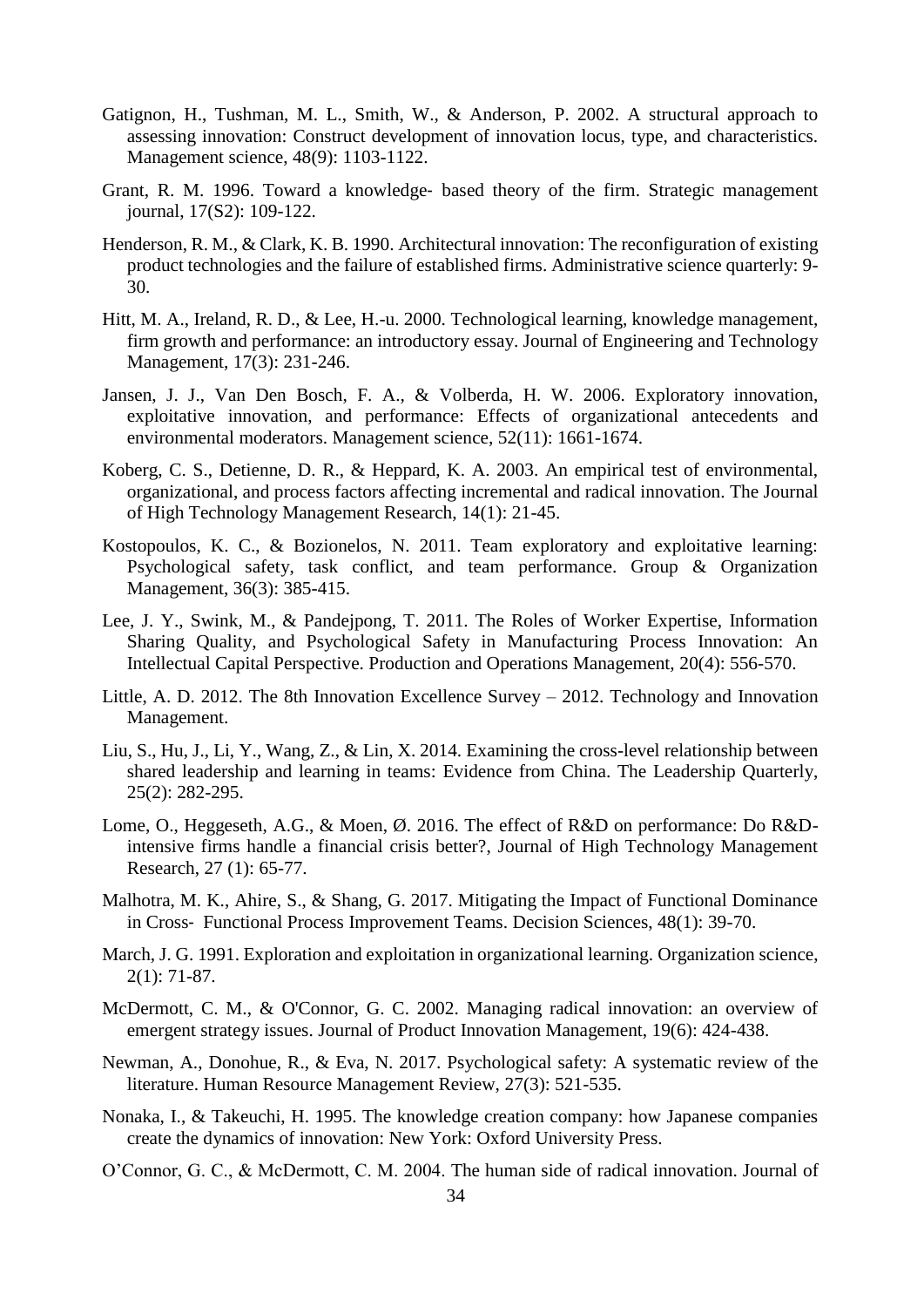- Gatignon, H., Tushman, M. L., Smith, W., & Anderson, P. 2002. A structural approach to assessing innovation: Construct development of innovation locus, type, and characteristics. Management science, 48(9): 1103-1122.
- Grant, R. M. 1996. Toward a knowledge‐ based theory of the firm. Strategic management journal, 17(S2): 109-122.
- Henderson, R. M., & Clark, K. B. 1990. Architectural innovation: The reconfiguration of existing product technologies and the failure of established firms. Administrative science quarterly: 9- 30.
- Hitt, M. A., Ireland, R. D., & Lee, H.-u. 2000. Technological learning, knowledge management, firm growth and performance: an introductory essay. Journal of Engineering and Technology Management, 17(3): 231-246.
- Jansen, J. J., Van Den Bosch, F. A., & Volberda, H. W. 2006. Exploratory innovation, exploitative innovation, and performance: Effects of organizational antecedents and environmental moderators. Management science, 52(11): 1661-1674.
- Koberg, C. S., Detienne, D. R., & Heppard, K. A. 2003. An empirical test of environmental, organizational, and process factors affecting incremental and radical innovation. The Journal of High Technology Management Research, 14(1): 21-45.
- Kostopoulos, K. C., & Bozionelos, N. 2011. Team exploratory and exploitative learning: Psychological safety, task conflict, and team performance. Group & Organization Management, 36(3): 385-415.
- Lee, J. Y., Swink, M., & Pandejpong, T. 2011. The Roles of Worker Expertise, Information Sharing Quality, and Psychological Safety in Manufacturing Process Innovation: An Intellectual Capital Perspective. Production and Operations Management, 20(4): 556-570.
- Little, A. D. 2012. The 8th Innovation Excellence Survey 2012. Technology and Innovation Management.
- Liu, S., Hu, J., Li, Y., Wang, Z., & Lin, X. 2014. Examining the cross-level relationship between shared leadership and learning in teams: Evidence from China. The Leadership Quarterly, 25(2): 282-295.
- Lome, O., Heggeseth, A.G., & Moen, Ø. 2016. The effect of R&D on performance: Do R&Dintensive firms handle a financial crisis better?, Journal of High Technology Management Research, 27 (1): 65-77.
- Malhotra, M. K., Ahire, S., & Shang, G. 2017. Mitigating the Impact of Functional Dominance in Cross‐ Functional Process Improvement Teams. Decision Sciences, 48(1): 39-70.
- March, J. G. 1991. Exploration and exploitation in organizational learning. Organization science, 2(1): 71-87.
- McDermott, C. M., & O'Connor, G. C. 2002. Managing radical innovation: an overview of emergent strategy issues. Journal of Product Innovation Management, 19(6): 424-438.
- Newman, A., Donohue, R., & Eva, N. 2017. Psychological safety: A systematic review of the literature. Human Resource Management Review, 27(3): 521-535.
- Nonaka, I., & Takeuchi, H. 1995. The knowledge creation company: how Japanese companies create the dynamics of innovation: New York: Oxford University Press.
- O'Connor, G. C., & McDermott, C. M. 2004. The human side of radical innovation. Journal of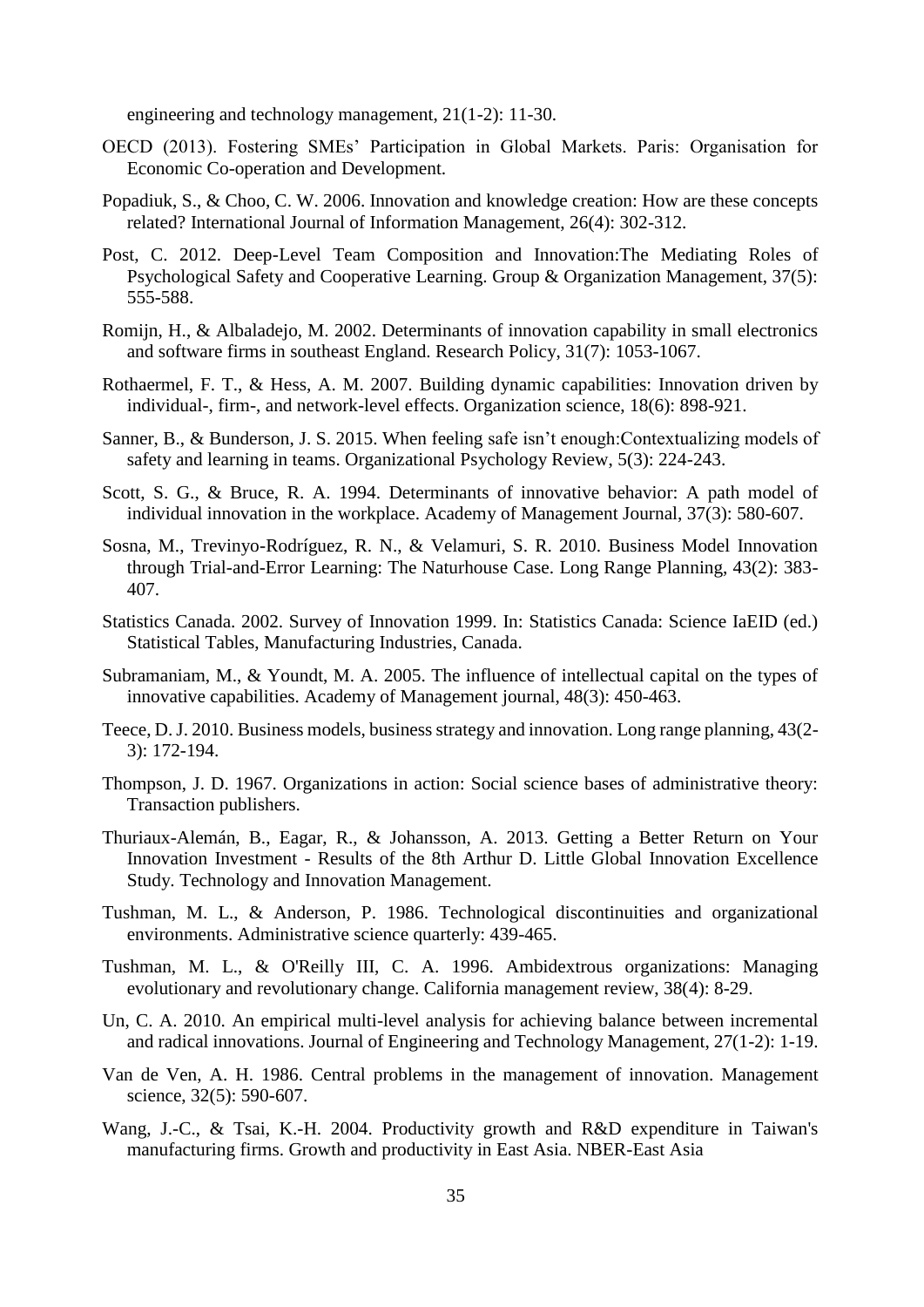engineering and technology management, 21(1-2): 11-30.

- OECD (2013). Fostering SMEs' Participation in Global Markets. Paris: Organisation for Economic Co-operation and Development.
- Popadiuk, S., & Choo, C. W. 2006. Innovation and knowledge creation: How are these concepts related? International Journal of Information Management, 26(4): 302-312.
- Post, C. 2012. Deep-Level Team Composition and Innovation:The Mediating Roles of Psychological Safety and Cooperative Learning. Group & Organization Management, 37(5): 555-588.
- Romijn, H., & Albaladejo, M. 2002. Determinants of innovation capability in small electronics and software firms in southeast England. Research Policy, 31(7): 1053-1067.
- Rothaermel, F. T., & Hess, A. M. 2007. Building dynamic capabilities: Innovation driven by individual-, firm-, and network-level effects. Organization science, 18(6): 898-921.
- Sanner, B., & Bunderson, J. S. 2015. When feeling safe isn't enough:Contextualizing models of safety and learning in teams. Organizational Psychology Review, 5(3): 224-243.
- Scott, S. G., & Bruce, R. A. 1994. Determinants of innovative behavior: A path model of individual innovation in the workplace. Academy of Management Journal, 37(3): 580-607.
- Sosna, M., Trevinyo-Rodríguez, R. N., & Velamuri, S. R. 2010. Business Model Innovation through Trial-and-Error Learning: The Naturhouse Case. Long Range Planning, 43(2): 383- 407.
- Statistics Canada. 2002. Survey of Innovation 1999. In: Statistics Canada: Science IaEID (ed.) Statistical Tables, Manufacturing Industries, Canada.
- Subramaniam, M., & Youndt, M. A. 2005. The influence of intellectual capital on the types of innovative capabilities. Academy of Management journal, 48(3): 450-463.
- Teece, D. J. 2010. Business models, business strategy and innovation. Long range planning, 43(2- 3): 172-194.
- Thompson, J. D. 1967. Organizations in action: Social science bases of administrative theory: Transaction publishers.
- Thuriaux-Alemán, B., Eagar, R., & Johansson, A. 2013. Getting a Better Return on Your Innovation Investment - Results of the 8th Arthur D. Little Global Innovation Excellence Study. Technology and Innovation Management.
- Tushman, M. L., & Anderson, P. 1986. Technological discontinuities and organizational environments. Administrative science quarterly: 439-465.
- Tushman, M. L., & O'Reilly III, C. A. 1996. Ambidextrous organizations: Managing evolutionary and revolutionary change. California management review, 38(4): 8-29.
- Un, C. A. 2010. An empirical multi-level analysis for achieving balance between incremental and radical innovations. Journal of Engineering and Technology Management, 27(1-2): 1-19.
- Van de Ven, A. H. 1986. Central problems in the management of innovation. Management science, 32(5): 590-607.
- Wang, J.-C., & Tsai, K.-H. 2004. Productivity growth and R&D expenditure in Taiwan's manufacturing firms. Growth and productivity in East Asia. NBER-East Asia